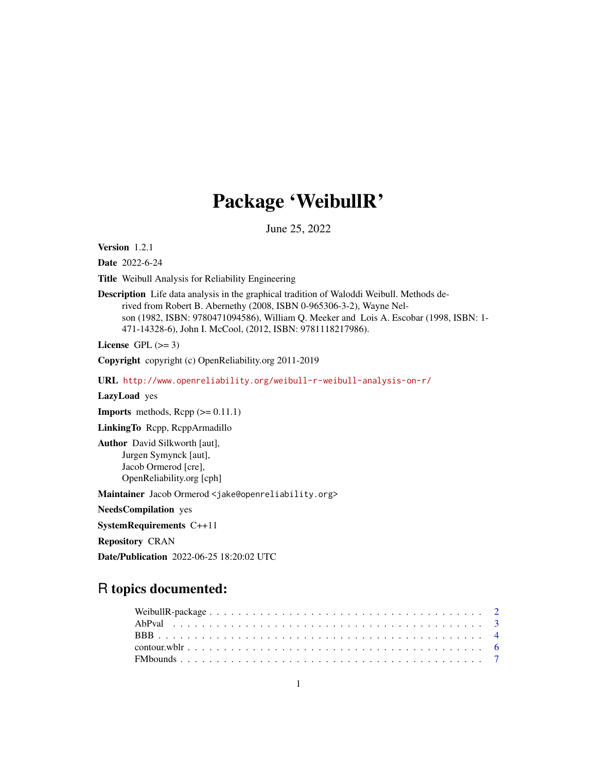# Package 'WeibullR'

June 25, 2022

<span id="page-0-0"></span>Version 1.2.1

Date 2022-6-24

Title Weibull Analysis for Reliability Engineering

Description Life data analysis in the graphical tradition of Waloddi Weibull. Methods derived from Robert B. Abernethy (2008, ISBN 0-965306-3-2), Wayne Nelson (1982, ISBN: 9780471094586), William Q. Meeker and Lois A. Escobar (1998, ISBN: 1- 471-14328-6), John I. McCool, (2012, ISBN: 9781118217986).

License GPL  $(>= 3)$ 

Copyright copyright (c) OpenReliability.org 2011-2019

URL <http://www.openreliability.org/weibull-r-weibull-analysis-on-r/>

LazyLoad yes

**Imports** methods,  $\text{Rcpp}$  ( $> = 0.11.1$ )

LinkingTo Rcpp, RcppArmadillo

Author David Silkworth [aut], Jurgen Symynck [aut], Jacob Ormerod [cre], OpenReliability.org [cph]

Maintainer Jacob Ormerod <jake@openreliability.org>

NeedsCompilation yes

SystemRequirements C++11

Repository CRAN

Date/Publication 2022-06-25 18:20:02 UTC

# R topics documented: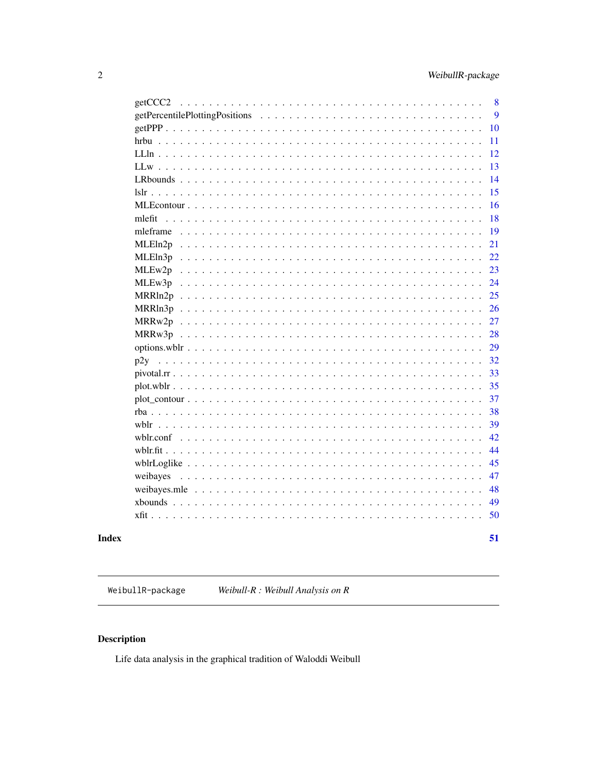<span id="page-1-0"></span>

| getCCC2                                              | 8  |
|------------------------------------------------------|----|
|                                                      | 9  |
|                                                      | 10 |
|                                                      | 11 |
| $LLln \ldots \ldots$                                 | 12 |
|                                                      | 13 |
|                                                      | 14 |
| lslr                                                 | 15 |
|                                                      | 16 |
| mlefit<br>$\mathbf{r}$                               | 18 |
| mleframe<br>$\mathbf{1}$ $\mathbf{1}$                | 19 |
| MLEln2p<br>$\ddot{\phantom{a}}$                      | 21 |
| MLEln3p<br>$\cdot$ $\cdot$ $\cdot$                   | 22 |
| MLEw2p                                               | 23 |
| MLEw3p                                               | 24 |
| MRRln2p                                              | 25 |
| MRRln3p                                              | 26 |
| MRRw <sub>2p</sub>                                   | 27 |
| MRRw3p                                               | 28 |
|                                                      | 29 |
| p2y                                                  | 32 |
|                                                      | 33 |
|                                                      | 35 |
|                                                      | 37 |
| $rba$                                                | 38 |
| wblr<br>$\ddot{\phantom{a}}$<br>$\ddot{\phantom{0}}$ | 39 |
| wblr.conf                                            | 42 |
|                                                      | 44 |
|                                                      | 45 |
| weibayes                                             | 47 |
|                                                      | 48 |
|                                                      | 49 |
|                                                      | 50 |
|                                                      | 51 |
|                                                      |    |

# **Index**

WeibullR-package Weibull-R : Weibull Analysis on R

# Description

Life data analysis in the graphical tradition of Waloddi Weibull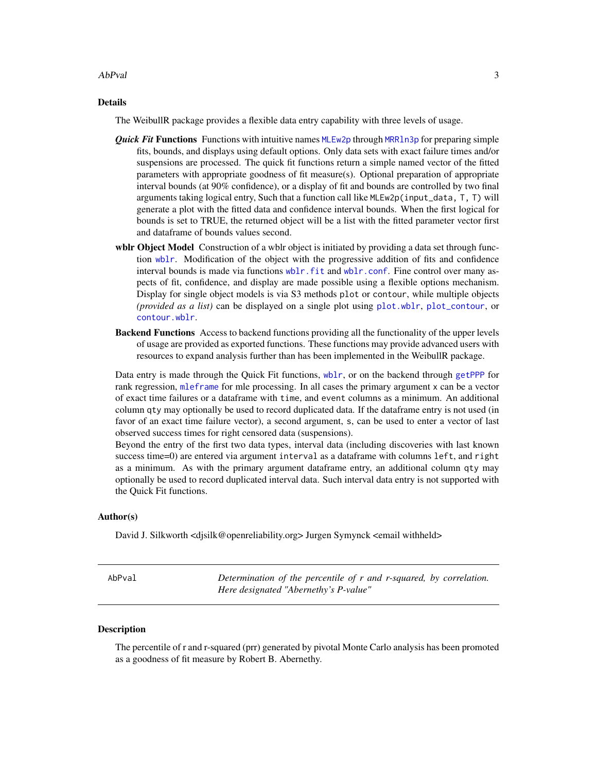<span id="page-2-0"></span>AbPval 3

#### Details

The WeibullR package provides a flexible data entry capability with three levels of usage.

- *Quick Fit* Functions Functions with intuitive names [MLEw2p](#page-22-1) through MRR1n3p for preparing simple fits, bounds, and displays using default options. Only data sets with exact failure times and/or suspensions are processed. The quick fit functions return a simple named vector of the fitted parameters with appropriate goodness of fit measure(s). Optional preparation of appropriate interval bounds (at 90% confidence), or a display of fit and bounds are controlled by two final arguments taking logical entry, Such that a function call like MLEw2p(input\_data, T, T) will generate a plot with the fitted data and confidence interval bounds. When the first logical for bounds is set to TRUE, the returned object will be a list with the fitted parameter vector first and dataframe of bounds values second.
- wblr Object Model Construction of a wblr object is initiated by providing a data set through function [wblr](#page-38-1). Modification of the object with the progressive addition of fits and confidence interval bounds is made via functions [wblr.fit](#page-43-1) and [wblr.conf](#page-41-1). Fine control over many aspects of fit, confidence, and display are made possible using a flexible options mechanism. Display for single object models is via S3 methods plot or contour, while multiple objects *(provided as a list)* can be displayed on a single plot using [plot.wblr](#page-34-1), [plot\\_contour](#page-36-1), or [contour.wblr](#page-5-1).
- Backend Functions Access to backend functions providing all the functionality of the upper levels of usage are provided as exported functions. These functions may provide advanced users with resources to expand analysis further than has been implemented in the WeibullR package.

Data entry is made through the Quick Fit functions, [wblr](#page-38-1), or on the backend through [getPPP](#page-9-1) for rank regression, [mleframe](#page-18-1) for mle processing. In all cases the primary argument x can be a vector of exact time failures or a dataframe with time, and event columns as a minimum. An additional column qty may optionally be used to record duplicated data. If the dataframe entry is not used (in favor of an exact time failure vector), a second argument, s, can be used to enter a vector of last observed success times for right censored data (suspensions).

Beyond the entry of the first two data types, interval data (including discoveries with last known success time=0) are entered via argument interval as a dataframe with columns left, and right as a minimum. As with the primary argument dataframe entry, an additional column qty may optionally be used to record duplicated interval data. Such interval data entry is not supported with the Quick Fit functions.

#### Author(s)

David J. Silkworth <djsilk@openreliability.org> Jurgen Symynck <email withheld>

AbPval *Determination of the percentile of r and r-squared, by correlation. Here designated "Abernethy's P-value"*

#### **Description**

The percentile of r and r-squared (prr) generated by pivotal Monte Carlo analysis has been promoted as a goodness of fit measure by Robert B. Abernethy.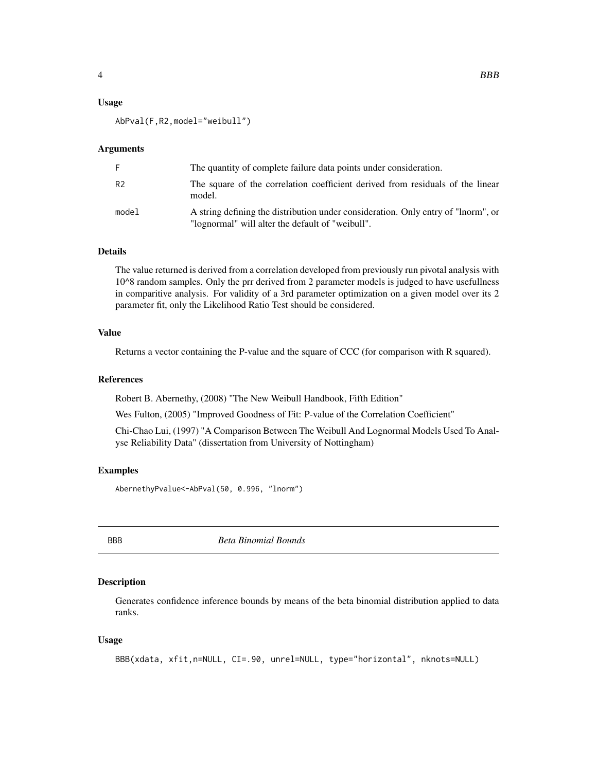#### <span id="page-3-0"></span>Usage

AbPval(F,R2,model="weibull")

#### Arguments

| F.             | The quantity of complete failure data points under consideration.                                                                     |
|----------------|---------------------------------------------------------------------------------------------------------------------------------------|
| R <sub>2</sub> | The square of the correlation coefficient derived from residuals of the linear<br>model.                                              |
| model          | A string defining the distribution under consideration. Only entry of "lnorm", or<br>"lognormal" will alter the default of "weibull". |

#### Details

The value returned is derived from a correlation developed from previously run pivotal analysis with 10^8 random samples. Only the prr derived from 2 parameter models is judged to have usefullness in comparitive analysis. For validity of a 3rd parameter optimization on a given model over its 2 parameter fit, only the Likelihood Ratio Test should be considered.

# Value

Returns a vector containing the P-value and the square of CCC (for comparison with R squared).

#### References

Robert B. Abernethy, (2008) "The New Weibull Handbook, Fifth Edition"

Wes Fulton, (2005) "Improved Goodness of Fit: P-value of the Correlation Coefficient"

Chi-Chao Lui, (1997) "A Comparison Between The Weibull And Lognormal Models Used To Analyse Reliability Data" (dissertation from University of Nottingham)

# Examples

AbernethyPvalue<-AbPval(50, 0.996, "lnorm")

BBB *Beta Binomial Bounds*

## Description

Generates confidence inference bounds by means of the beta binomial distribution applied to data ranks.

#### Usage

```
BBB(xdata, xfit,n=NULL, CI=.90, unrel=NULL, type="horizontal", nknots=NULL)
```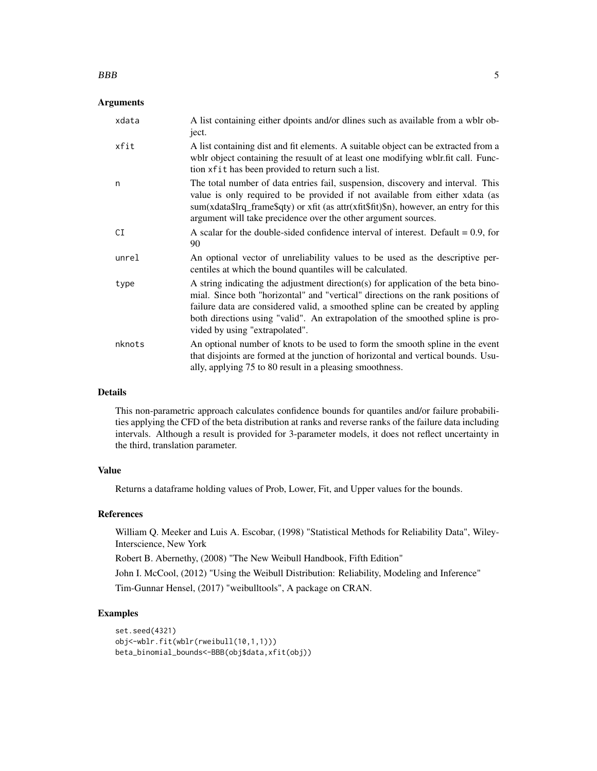#### BBB 5

#### Arguments

| xdata  | A list containing either dpoints and/or dlines such as available from a wblr ob-<br>ject.                                                                                                                                                                                                                                                                                   |
|--------|-----------------------------------------------------------------------------------------------------------------------------------------------------------------------------------------------------------------------------------------------------------------------------------------------------------------------------------------------------------------------------|
| xfit   | A list containing dist and fit elements. A suitable object can be extracted from a<br>wblr object containing the resuult of at least one modifying wblr.fit call. Func-<br>tion xfit has been provided to return such a list.                                                                                                                                               |
| n      | The total number of data entries fail, suspension, discovery and interval. This<br>value is only required to be provided if not available from either xdata (as<br>sum(xdata\$lrq_frame\$qty) or xfit (as attr(xfit\$fit)\$n), however, an entry for this<br>argument will take precidence over the other argument sources.                                                 |
| CI     | A scalar for the double-sided confidence interval of interest. Default $= 0.9$ , for<br>90                                                                                                                                                                                                                                                                                  |
| unrel  | An optional vector of unreliability values to be used as the descriptive per-<br>centiles at which the bound quantiles will be calculated.                                                                                                                                                                                                                                  |
| type   | A string indicating the adjustment direction(s) for application of the beta bino-<br>mial. Since both "horizontal" and "vertical" directions on the rank positions of<br>failure data are considered valid, a smoothed spline can be created by appling<br>both directions using "valid". An extrapolation of the smoothed spline is pro-<br>vided by using "extrapolated". |
| nknots | An optional number of knots to be used to form the smooth spline in the event<br>that disjoints are formed at the junction of horizontal and vertical bounds. Usu-<br>ally, applying 75 to 80 result in a pleasing smoothness.                                                                                                                                              |

# Details

This non-parametric approach calculates confidence bounds for quantiles and/or failure probabilities applying the CFD of the beta distribution at ranks and reverse ranks of the failure data including intervals. Although a result is provided for 3-parameter models, it does not reflect uncertainty in the third, translation parameter.

# Value

Returns a dataframe holding values of Prob, Lower, Fit, and Upper values for the bounds.

#### References

William Q. Meeker and Luis A. Escobar, (1998) "Statistical Methods for Reliability Data", Wiley-Interscience, New York

Robert B. Abernethy, (2008) "The New Weibull Handbook, Fifth Edition"

John I. McCool, (2012) "Using the Weibull Distribution: Reliability, Modeling and Inference"

Tim-Gunnar Hensel, (2017) "weibulltools", A package on CRAN.

```
set.seed(4321)
obj<-wblr.fit(wblr(rweibull(10,1,1)))
beta_binomial_bounds<-BBB(obj$data,xfit(obj))
```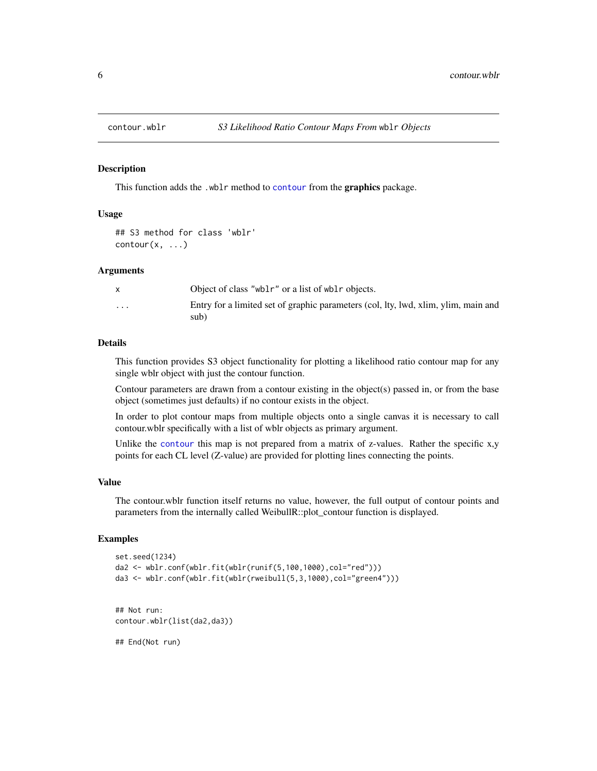<span id="page-5-1"></span><span id="page-5-0"></span>

This function adds the .wblr method to [contour](#page-0-0) from the graphics package.

# Usage

```
## S3 method for class 'wblr'
contour(x, \ldots)
```
#### Arguments

|                         | Object of class "wblr" or a list of wblr objects.                                          |
|-------------------------|--------------------------------------------------------------------------------------------|
| $\cdot$ $\cdot$ $\cdot$ | Entry for a limited set of graphic parameters (col, lty, lwd, xlim, ylim, main and<br>sub) |

# Details

This function provides S3 object functionality for plotting a likelihood ratio contour map for any single wblr object with just the contour function.

Contour parameters are drawn from a contour existing in the object(s) passed in, or from the base object (sometimes just defaults) if no contour exists in the object.

In order to plot contour maps from multiple objects onto a single canvas it is necessary to call contour.wblr specifically with a list of wblr objects as primary argument.

Unlike the [contour](#page-0-0) this map is not prepared from a matrix of z-values. Rather the specific  $x,y$ points for each CL level (Z-value) are provided for plotting lines connecting the points.

#### Value

The contour.wblr function itself returns no value, however, the full output of contour points and parameters from the internally called WeibullR::plot\_contour function is displayed.

#### Examples

```
set.seed(1234)
da2 <- wblr.conf(wblr.fit(wblr(runif(5,100,1000),col="red")))
da3 <- wblr.conf(wblr.fit(wblr(rweibull(5,3,1000),col="green4")))
```
## Not run: contour.wblr(list(da2,da3))

## End(Not run)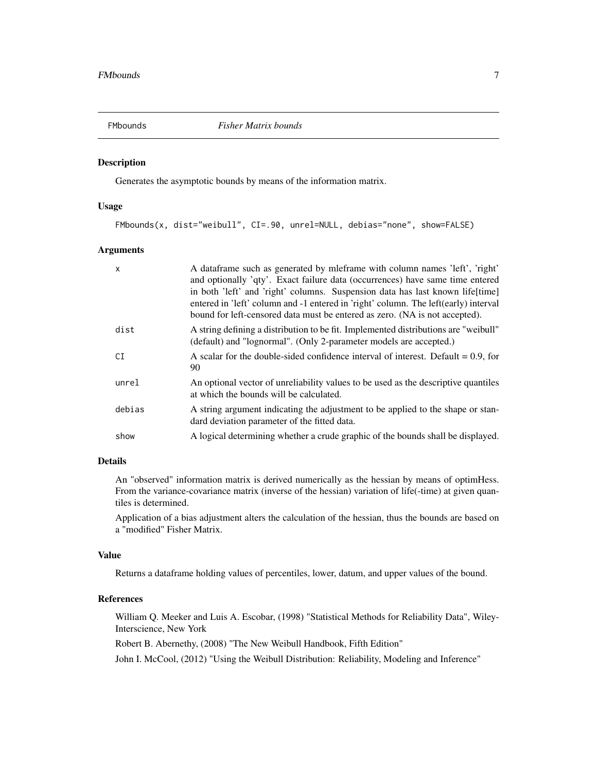<span id="page-6-0"></span>

Generates the asymptotic bounds by means of the information matrix.

#### Usage

FMbounds(x, dist="weibull", CI=.90, unrel=NULL, debias="none", show=FALSE)

#### Arguments

| $\mathsf{x}$ | A data frame such as generated by meeting with column names 'left', 'right'<br>and optionally 'qty'. Exact failure data (occurrences) have same time entered<br>in both 'left' and 'right' columns. Suspension data has last known life[time]<br>entered in 'left' column and -1 entered in 'right' column. The left(early) interval<br>bound for left-censored data must be entered as zero. (NA is not accepted). |
|--------------|---------------------------------------------------------------------------------------------------------------------------------------------------------------------------------------------------------------------------------------------------------------------------------------------------------------------------------------------------------------------------------------------------------------------|
| dist         | A string defining a distribution to be fit. Implemented distributions are "weibull"<br>(default) and "lognormal". (Only 2-parameter models are accepted.)                                                                                                                                                                                                                                                           |
| CI           | A scalar for the double-sided confidence interval of interest. Default $= 0.9$ , for<br>90                                                                                                                                                                                                                                                                                                                          |
| unrel        | An optional vector of unreliability values to be used as the descriptive quantiles<br>at which the bounds will be calculated.                                                                                                                                                                                                                                                                                       |
| debias       | A string argument indicating the adjustment to be applied to the shape or stan-<br>dard deviation parameter of the fitted data.                                                                                                                                                                                                                                                                                     |
| show         | A logical determining whether a crude graphic of the bounds shall be displayed.                                                                                                                                                                                                                                                                                                                                     |

# Details

An "observed" information matrix is derived numerically as the hessian by means of optimHess. From the variance-covariance matrix (inverse of the hessian) variation of life(-time) at given quantiles is determined.

Application of a bias adjustment alters the calculation of the hessian, thus the bounds are based on a "modified" Fisher Matrix.

#### Value

Returns a dataframe holding values of percentiles, lower, datum, and upper values of the bound.

# References

William Q. Meeker and Luis A. Escobar, (1998) "Statistical Methods for Reliability Data", Wiley-Interscience, New York

Robert B. Abernethy, (2008) "The New Weibull Handbook, Fifth Edition"

John I. McCool, (2012) "Using the Weibull Distribution: Reliability, Modeling and Inference"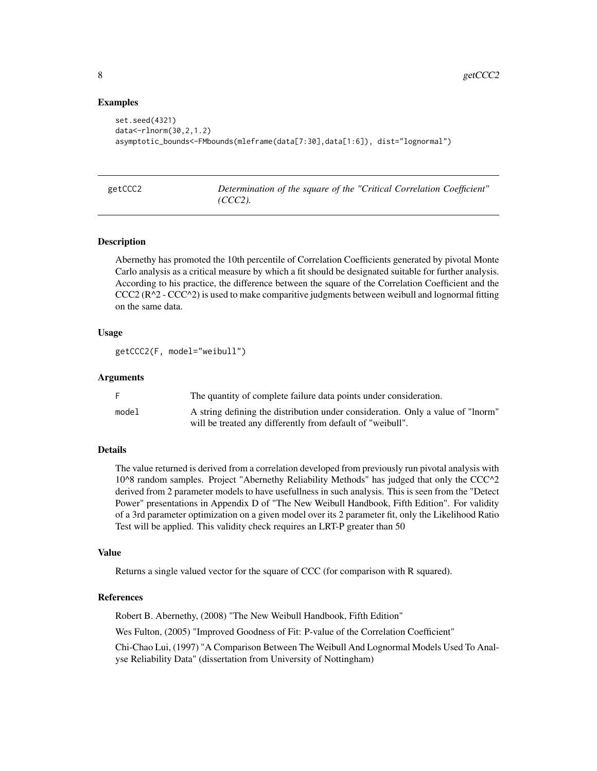```
set.seed(4321)
data<-rlnorm(30,2,1.2)
asymptotic_bounds<-FMbounds(mleframe(data[7:30],data[1:6]), dist="lognormal")
```

| getCCC2 | Determination of the square of the "Critical Correlation Coefficient" |
|---------|-----------------------------------------------------------------------|
|         | $(CCC2)$ .                                                            |

#### Description

Abernethy has promoted the 10th percentile of Correlation Coefficients generated by pivotal Monte Carlo analysis as a critical measure by which a fit should be designated suitable for further analysis. According to his practice, the difference between the square of the Correlation Coefficient and the  $CCC2 (R^2 - CCC^2)$  is used to make comparitive judgments between weibull and lognormal fitting on the same data.

#### Usage

getCCC2(F, model="weibull")

#### Arguments

|       | The quantity of complete failure data points under consideration.               |
|-------|---------------------------------------------------------------------------------|
| model | A string defining the distribution under consideration. Only a value of "lnorm" |
|       | will be treated any differently from default of "weibull".                      |

#### Details

The value returned is derived from a correlation developed from previously run pivotal analysis with 10^8 random samples. Project "Abernethy Reliability Methods" has judged that only the CCC^2 derived from 2 parameter models to have usefullness in such analysis. This is seen from the "Detect Power" presentations in Appendix D of "The New Weibull Handbook, Fifth Edition". For validity of a 3rd parameter optimization on a given model over its 2 parameter fit, only the Likelihood Ratio Test will be applied. This validity check requires an LRT-P greater than 50

# Value

Returns a single valued vector for the square of CCC (for comparison with R squared).

#### References

Robert B. Abernethy, (2008) "The New Weibull Handbook, Fifth Edition"

Wes Fulton, (2005) "Improved Goodness of Fit: P-value of the Correlation Coefficient"

Chi-Chao Lui, (1997) "A Comparison Between The Weibull And Lognormal Models Used To Analyse Reliability Data" (dissertation from University of Nottingham)

<span id="page-7-0"></span>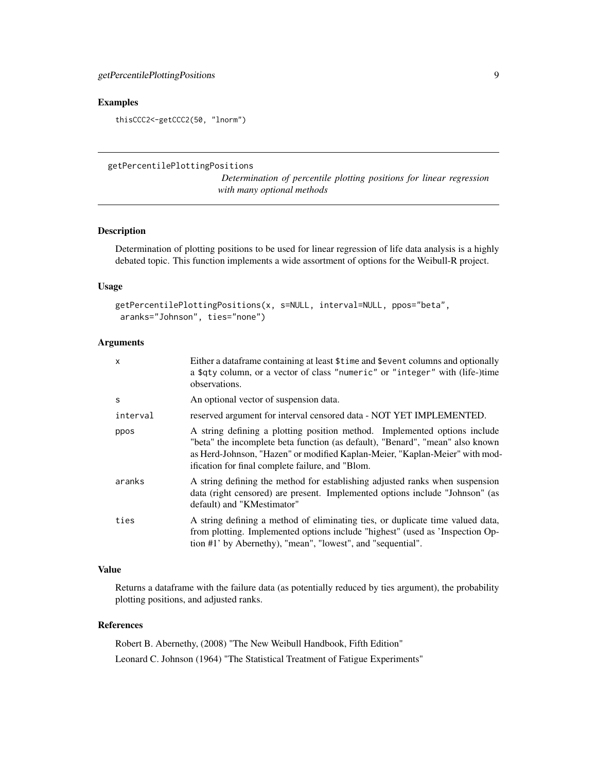<span id="page-8-0"></span>thisCCC2<-getCCC2(50, "lnorm")

# getPercentilePlottingPositions

*Determination of percentile plotting positions for linear regression with many optional methods*

# Description

Determination of plotting positions to be used for linear regression of life data analysis is a highly debated topic. This function implements a wide assortment of options for the Weibull-R project.

#### Usage

```
getPercentilePlottingPositions(x, s=NULL, interval=NULL, ppos="beta",
aranks="Johnson", ties="none")
```
# Arguments

| X        | Either a dataframe containing at least \$time and \$event columns and optionally<br>a \$qty column, or a vector of class "numeric" or "integer" with (life-)time<br>observations.                                                                                                             |
|----------|-----------------------------------------------------------------------------------------------------------------------------------------------------------------------------------------------------------------------------------------------------------------------------------------------|
| S        | An optional vector of suspension data.                                                                                                                                                                                                                                                        |
| interval | reserved argument for interval censored data - NOT YET IMPLEMENTED.                                                                                                                                                                                                                           |
| ppos     | A string defining a plotting position method. Implemented options include<br>"beta" the incomplete beta function (as default), "Benard", "mean" also known<br>as Herd-Johnson, "Hazen" or modified Kaplan-Meier, "Kaplan-Meier" with mod-<br>ification for final complete failure, and "Blom. |
| aranks   | A string defining the method for establishing adjusted ranks when suspension<br>data (right censored) are present. Implemented options include "Johnson" (as<br>default) and "KMestimator"                                                                                                    |
| ties     | A string defining a method of eliminating ties, or duplicate time valued data,<br>from plotting. Implemented options include "highest" (used as 'Inspection Op-<br>tion #1' by Abernethy), "mean", "lowest", and "sequential".                                                                |

#### Value

Returns a dataframe with the failure data (as potentially reduced by ties argument), the probability plotting positions, and adjusted ranks.

#### References

Robert B. Abernethy, (2008) "The New Weibull Handbook, Fifth Edition" Leonard C. Johnson (1964) "The Statistical Treatment of Fatigue Experiments"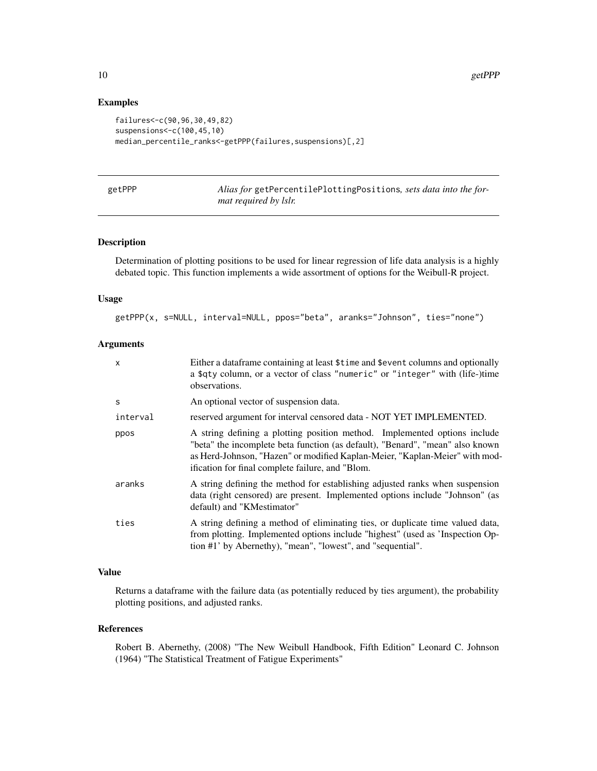```
failures<-c(90,96,30,49,82)
suspensions<-c(100,45,10)
median_percentile_ranks<-getPPP(failures,suspensions)[,2]
```
<span id="page-9-1"></span>

getPPP *Alias for* getPercentilePlottingPositions*, sets data into the format required by lslr.*

# Description

Determination of plotting positions to be used for linear regression of life data analysis is a highly debated topic. This function implements a wide assortment of options for the Weibull-R project.

## Usage

getPPP(x, s=NULL, interval=NULL, ppos="beta", aranks="Johnson", ties="none")

#### **Arguments**

| X        | Either a dataframe containing at least \$time and \$event columns and optionally<br>a \$qty column, or a vector of class "numeric" or "integer" with (life-)time<br>observations.                                                                                                             |
|----------|-----------------------------------------------------------------------------------------------------------------------------------------------------------------------------------------------------------------------------------------------------------------------------------------------|
| S        | An optional vector of suspension data.                                                                                                                                                                                                                                                        |
| interval | reserved argument for interval censored data - NOT YET IMPLEMENTED.                                                                                                                                                                                                                           |
| ppos     | A string defining a plotting position method. Implemented options include<br>"beta" the incomplete beta function (as default), "Benard", "mean" also known<br>as Herd-Johnson, "Hazen" or modified Kaplan-Meier, "Kaplan-Meier" with mod-<br>ification for final complete failure, and "Blom. |
| aranks   | A string defining the method for establishing adjusted ranks when suspension<br>data (right censored) are present. Implemented options include "Johnson" (as<br>default) and "KMestimator"                                                                                                    |
| ties     | A string defining a method of eliminating ties, or duplicate time valued data,<br>from plotting. Implemented options include "highest" (used as 'Inspection Op-<br>tion #1' by Abernethy), "mean", "lowest", and "sequential".                                                                |

# Value

Returns a dataframe with the failure data (as potentially reduced by ties argument), the probability plotting positions, and adjusted ranks.

#### References

Robert B. Abernethy, (2008) "The New Weibull Handbook, Fifth Edition" Leonard C. Johnson (1964) "The Statistical Treatment of Fatigue Experiments"

<span id="page-9-0"></span>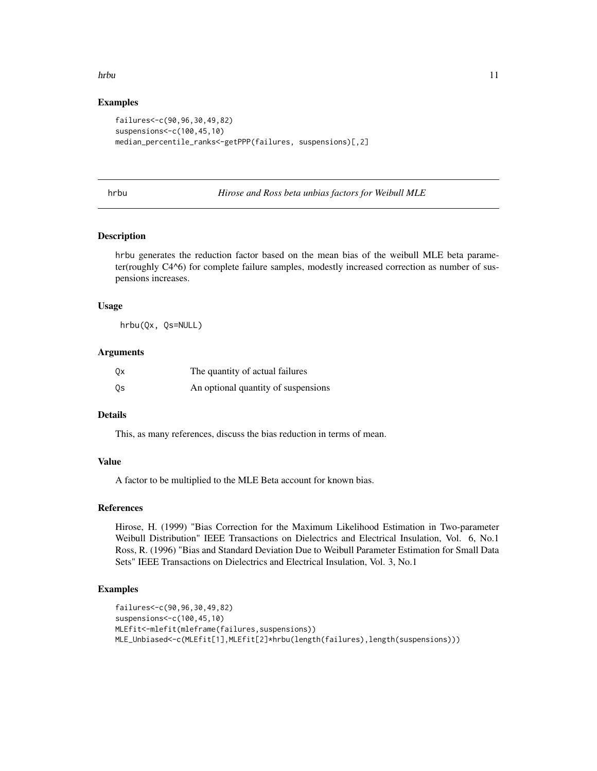#### <span id="page-10-0"></span>hrbu anns an t-India anns an t-India anns an t-India anns an t-India anns an t-India anns an t-India anns an t-

# Examples

```
failures<-c(90,96,30,49,82)
suspensions<-c(100,45,10)
median_percentile_ranks<-getPPP(failures, suspensions)[,2]
```
hrbu *Hirose and Ross beta unbias factors for Weibull MLE*

#### Description

hrbu generates the reduction factor based on the mean bias of the weibull MLE beta parameter(roughly C4^6) for complete failure samples, modestly increased correction as number of suspensions increases.

#### Usage

hrbu(Qx, Qs=NULL)

# Arguments

| Qх | The quantity of actual failures     |
|----|-------------------------------------|
| 0s | An optional quantity of suspensions |

# Details

This, as many references, discuss the bias reduction in terms of mean.

## Value

A factor to be multiplied to the MLE Beta account for known bias.

#### References

Hirose, H. (1999) "Bias Correction for the Maximum Likelihood Estimation in Two-parameter Weibull Distribution" IEEE Transactions on Dielectrics and Electrical Insulation, Vol. 6, No.1 Ross, R. (1996) "Bias and Standard Deviation Due to Weibull Parameter Estimation for Small Data Sets" IEEE Transactions on Dielectrics and Electrical Insulation, Vol. 3, No.1

```
failures<-c(90,96,30,49,82)
suspensions<-c(100,45,10)
MLEfit<-mlefit(mleframe(failures,suspensions))
MLE_Unbiased<-c(MLEfit[1],MLEfit[2]*hrbu(length(failures),length(suspensions)))
```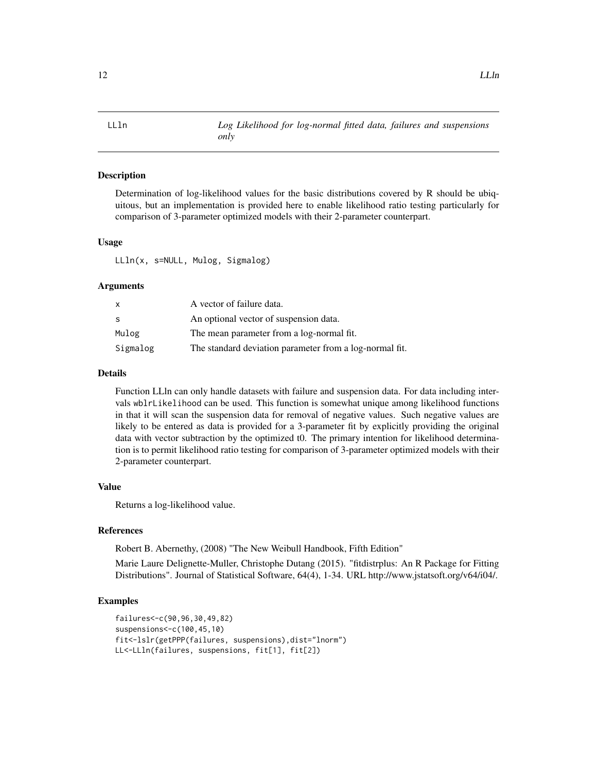LLln *Log Likelihood for log-normal fitted data, failures and suspensions only*

# Description

Determination of log-likelihood values for the basic distributions covered by R should be ubiquitous, but an implementation is provided here to enable likelihood ratio testing particularly for comparison of 3-parameter optimized models with their 2-parameter counterpart.

#### Usage

LLln(x, s=NULL, Mulog, Sigmalog)

#### Arguments

| X        | A vector of failure data.                               |
|----------|---------------------------------------------------------|
| -S       | An optional vector of suspension data.                  |
| Mulog    | The mean parameter from a log-normal fit.               |
| Sigmalog | The standard deviation parameter from a log-normal fit. |

#### Details

Function LLln can only handle datasets with failure and suspension data. For data including intervals wblrLikelihood can be used. This function is somewhat unique among likelihood functions in that it will scan the suspension data for removal of negative values. Such negative values are likely to be entered as data is provided for a 3-parameter fit by explicitly providing the original data with vector subtraction by the optimized t0. The primary intention for likelihood determination is to permit likelihood ratio testing for comparison of 3-parameter optimized models with their 2-parameter counterpart.

## Value

Returns a log-likelihood value.

#### References

Robert B. Abernethy, (2008) "The New Weibull Handbook, Fifth Edition"

Marie Laure Delignette-Muller, Christophe Dutang (2015). "fitdistrplus: An R Package for Fitting Distributions". Journal of Statistical Software, 64(4), 1-34. URL http://www.jstatsoft.org/v64/i04/.

```
failures<-c(90,96,30,49,82)
suspensions<-c(100,45,10)
fit<-lslr(getPPP(failures, suspensions),dist="lnorm")
LL<-LLln(failures, suspensions, fit[1], fit[2])
```
<span id="page-11-0"></span>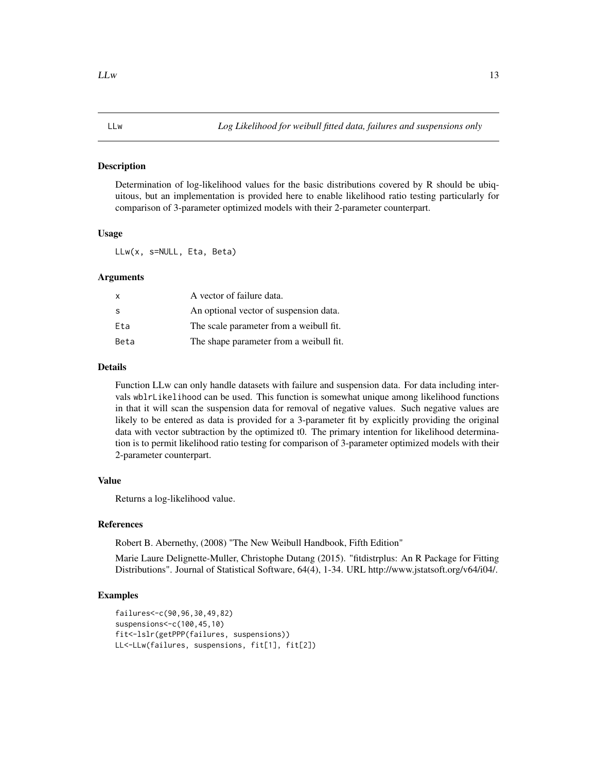<span id="page-12-0"></span>Determination of log-likelihood values for the basic distributions covered by R should be ubiquitous, but an implementation is provided here to enable likelihood ratio testing particularly for comparison of 3-parameter optimized models with their 2-parameter counterpart.

#### Usage

LLw(x, s=NULL, Eta, Beta)

#### Arguments

| X            | A vector of failure data.               |
|--------------|-----------------------------------------|
| <sub>S</sub> | An optional vector of suspension data.  |
| Eta          | The scale parameter from a weibull fit. |
| Beta         | The shape parameter from a weibull fit. |

#### Details

Function LLw can only handle datasets with failure and suspension data. For data including intervals wblrLikelihood can be used. This function is somewhat unique among likelihood functions in that it will scan the suspension data for removal of negative values. Such negative values are likely to be entered as data is provided for a 3-parameter fit by explicitly providing the original data with vector subtraction by the optimized t0. The primary intention for likelihood determination is to permit likelihood ratio testing for comparison of 3-parameter optimized models with their 2-parameter counterpart.

# Value

Returns a log-likelihood value.

# References

Robert B. Abernethy, (2008) "The New Weibull Handbook, Fifth Edition"

Marie Laure Delignette-Muller, Christophe Dutang (2015). "fitdistrplus: An R Package for Fitting Distributions". Journal of Statistical Software, 64(4), 1-34. URL http://www.jstatsoft.org/v64/i04/.

```
failures<-c(90,96,30,49,82)
suspensions<-c(100,45,10)
fit<-lslr(getPPP(failures, suspensions))
LL<-LLw(failures, suspensions, fit[1], fit[2])
```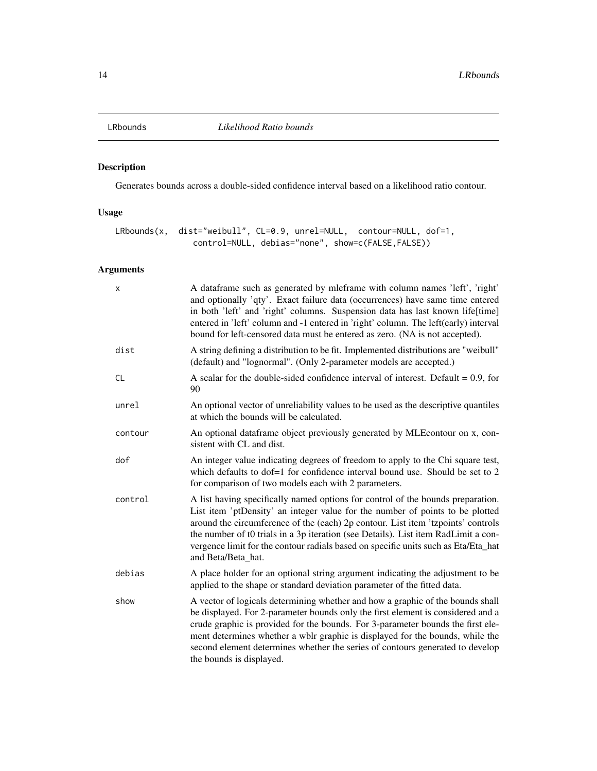<span id="page-13-0"></span>

Generates bounds across a double-sided confidence interval based on a likelihood ratio contour.

# Usage

```
LRbounds(x, dist="weibull", CL=0.9, unrel=NULL, contour=NULL, dof=1,
                control=NULL, debias="none", show=c(FALSE,FALSE))
```

| X         | A dataframe such as generated by mleframe with column names 'left', 'right'<br>and optionally 'qty'. Exact failure data (occurrences) have same time entered<br>in both 'left' and 'right' columns. Suspension data has last known life[time]<br>entered in 'left' column and -1 entered in 'right' column. The left(early) interval<br>bound for left-censored data must be entered as zero. (NA is not accepted).                                    |
|-----------|--------------------------------------------------------------------------------------------------------------------------------------------------------------------------------------------------------------------------------------------------------------------------------------------------------------------------------------------------------------------------------------------------------------------------------------------------------|
| dist      | A string defining a distribution to be fit. Implemented distributions are "weibull"<br>(default) and "lognormal". (Only 2-parameter models are accepted.)                                                                                                                                                                                                                                                                                              |
| <b>CL</b> | A scalar for the double-sided confidence interval of interest. Default $= 0.9$ , for<br>90                                                                                                                                                                                                                                                                                                                                                             |
| unrel     | An optional vector of unreliability values to be used as the descriptive quantiles<br>at which the bounds will be calculated.                                                                                                                                                                                                                                                                                                                          |
| contour   | An optional dataframe object previously generated by MLE contour on x, con-<br>sistent with CL and dist.                                                                                                                                                                                                                                                                                                                                               |
| dof       | An integer value indicating degrees of freedom to apply to the Chi square test,<br>which defaults to dof=1 for confidence interval bound use. Should be set to 2<br>for comparison of two models each with 2 parameters.                                                                                                                                                                                                                               |
| control   | A list having specifically named options for control of the bounds preparation.<br>List item 'ptDensity' an integer value for the number of points to be plotted<br>around the circumference of the (each) 2p contour. List item 'tzpoints' controls<br>the number of t0 trials in a 3p iteration (see Details). List item RadLimit a con-<br>vergence limit for the contour radials based on specific units such as Eta/Eta_hat<br>and Beta/Beta_hat. |
| debias    | A place holder for an optional string argument indicating the adjustment to be<br>applied to the shape or standard deviation parameter of the fitted data.                                                                                                                                                                                                                                                                                             |
| show      | A vector of logicals determining whether and how a graphic of the bounds shall<br>be displayed. For 2-parameter bounds only the first element is considered and a<br>crude graphic is provided for the bounds. For 3-parameter bounds the first ele-<br>ment determines whether a wblr graphic is displayed for the bounds, while the<br>second element determines whether the series of contours generated to develop<br>the bounds is displayed.     |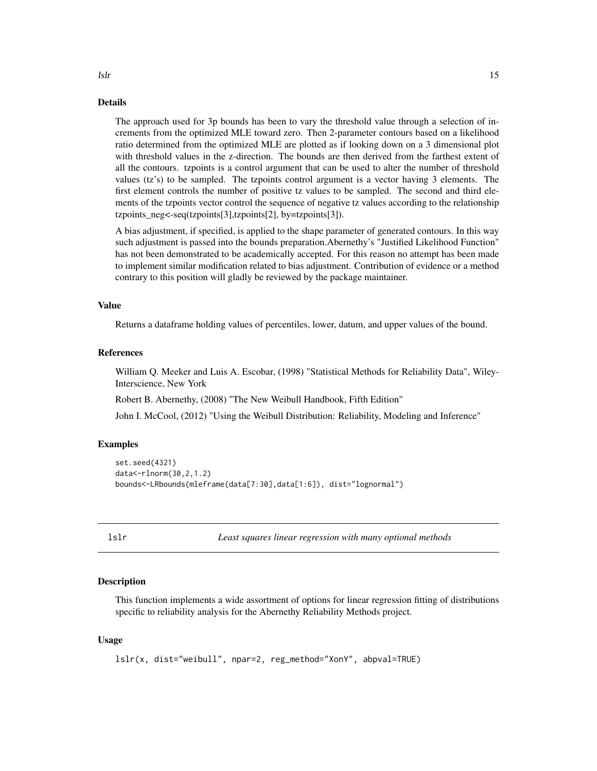#### Details

The approach used for 3p bounds has been to vary the threshold value through a selection of increments from the optimized MLE toward zero. Then 2-parameter contours based on a likelihood ratio determined from the optimized MLE are plotted as if looking down on a 3 dimensional plot with threshold values in the z-direction. The bounds are then derived from the farthest extent of all the contours. tzpoints is a control argument that can be used to alter the number of threshold values (tz's) to be sampled. The tzpoints control argument is a vector having 3 elements. The first element controls the number of positive tz values to be sampled. The second and third elements of the tzpoints vector control the sequence of negative tz values according to the relationship tzpoints\_neg<-seq(tzpoints[3],tzpoints[2], by=tzpoints[3]).

A bias adjustment, if specified, is applied to the shape parameter of generated contours. In this way such adjustment is passed into the bounds preparation.Abernethy's "Justified Likelihood Function" has not been demonstrated to be academically accepted. For this reason no attempt has been made to implement similar modification related to bias adjustment. Contribution of evidence or a method contrary to this position will gladly be reviewed by the package maintainer.

#### Value

Returns a dataframe holding values of percentiles, lower, datum, and upper values of the bound.

# References

William Q. Meeker and Luis A. Escobar, (1998) "Statistical Methods for Reliability Data", Wiley-Interscience, New York

Robert B. Abernethy, (2008) "The New Weibull Handbook, Fifth Edition"

John I. McCool, (2012) "Using the Weibull Distribution: Reliability, Modeling and Inference"

#### Examples

```
set.seed(4321)
data<-rlnorm(30,2,1.2)
bounds<-LRbounds(mleframe(data[7:30],data[1:6]), dist="lognormal")
```
lslr *Least squares linear regression with many optional methods*

#### **Description**

This function implements a wide assortment of options for linear regression fitting of distributions specific to reliability analysis for the Abernethy Reliability Methods project.

#### Usage

```
lslr(x, dist="weibull", npar=2, reg_method="XonY", abpval=TRUE)
```
<span id="page-14-0"></span> $\frac{15}{15}$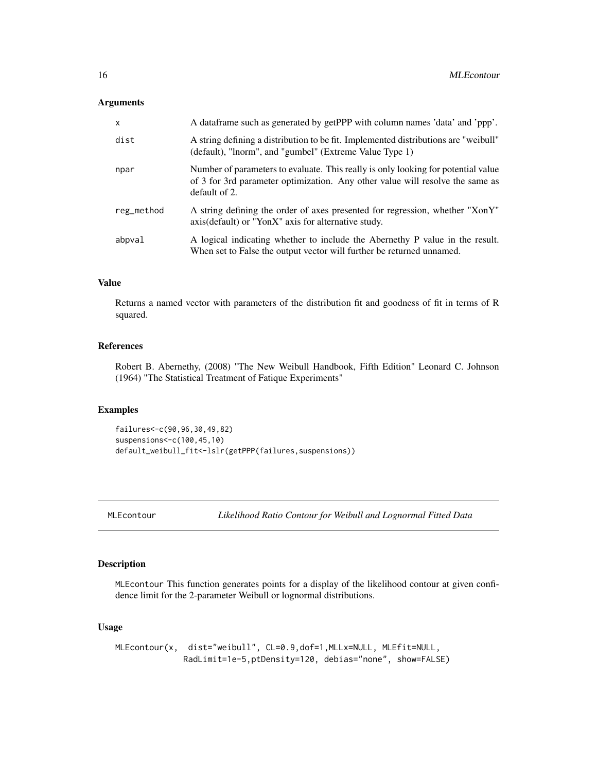#### <span id="page-15-0"></span>Arguments

| $\mathsf{x}$ | A dataframe such as generated by getPPP with column names 'data' and 'ppp'.                                                                                                         |
|--------------|-------------------------------------------------------------------------------------------------------------------------------------------------------------------------------------|
| dist         | A string defining a distribution to be fit. Implemented distributions are "weibull"<br>(default), "lnorm", and "gumbel" (Extreme Value Type 1)                                      |
| npar         | Number of parameters to evaluate. This really is only looking for potential value<br>of 3 for 3rd parameter optimization. Any other value will resolve the same as<br>default of 2. |
| reg_method   | A string defining the order of axes presented for regression, whether "XonY"<br>axis (default) or "YonX" axis for alternative study.                                                |
| abpval       | A logical indicating whether to include the Abernethy P value in the result.<br>When set to False the output vector will further be returned unnamed.                               |

# Value

Returns a named vector with parameters of the distribution fit and goodness of fit in terms of R squared.

#### References

Robert B. Abernethy, (2008) "The New Weibull Handbook, Fifth Edition" Leonard C. Johnson (1964) "The Statistical Treatment of Fatique Experiments"

#### Examples

```
failures<-c(90,96,30,49,82)
suspensions<-c(100,45,10)
default_weibull_fit<-lslr(getPPP(failures,suspensions))
```
MLEcontour *Likelihood Ratio Contour for Weibull and Lognormal Fitted Data*

# Description

MLEcontour This function generates points for a display of the likelihood contour at given confidence limit for the 2-parameter Weibull or lognormal distributions.

# Usage

MLEcontour(x, dist="weibull", CL=0.9,dof=1,MLLx=NULL, MLEfit=NULL, RadLimit=1e-5,ptDensity=120, debias="none", show=FALSE)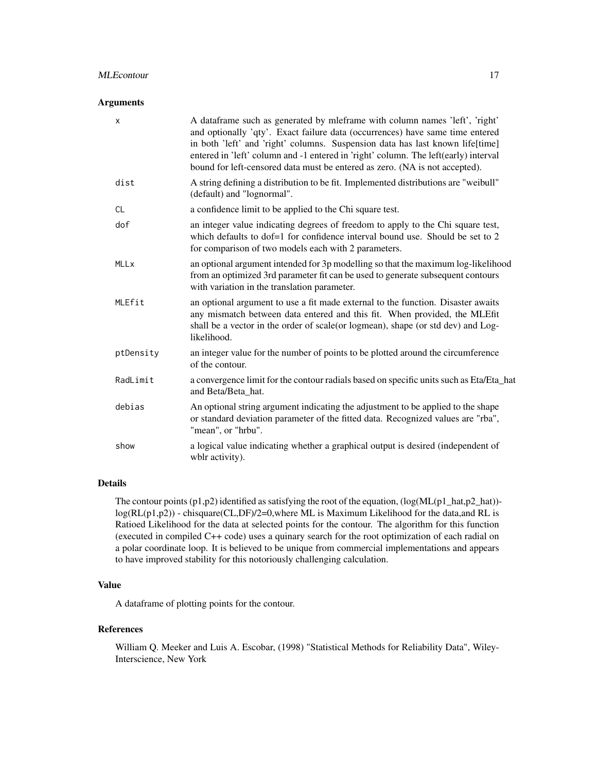# MLEcontour 17

# Arguments

| $\mathsf{x}$ | A dataframe such as generated by mleframe with column names 'left', 'right'<br>and optionally 'qty'. Exact failure data (occurrences) have same time entered<br>in both 'left' and 'right' columns. Suspension data has last known life[time]<br>entered in 'left' column and -1 entered in 'right' column. The left(early) interval<br>bound for left-censored data must be entered as zero. (NA is not accepted). |
|--------------|---------------------------------------------------------------------------------------------------------------------------------------------------------------------------------------------------------------------------------------------------------------------------------------------------------------------------------------------------------------------------------------------------------------------|
| dist         | A string defining a distribution to be fit. Implemented distributions are "weibull"<br>(default) and "lognormal".                                                                                                                                                                                                                                                                                                   |
| <b>CL</b>    | a confidence limit to be applied to the Chi square test.                                                                                                                                                                                                                                                                                                                                                            |
| dof          | an integer value indicating degrees of freedom to apply to the Chi square test,<br>which defaults to dof=1 for confidence interval bound use. Should be set to 2<br>for comparison of two models each with 2 parameters.                                                                                                                                                                                            |
| <b>MLLx</b>  | an optional argument intended for 3p modelling so that the maximum log-likelihood<br>from an optimized 3rd parameter fit can be used to generate subsequent contours<br>with variation in the translation parameter.                                                                                                                                                                                                |
| MLEfit       | an optional argument to use a fit made external to the function. Disaster awaits<br>any mismatch between data entered and this fit. When provided, the MLEfit<br>shall be a vector in the order of scale(or logmean), shape (or std dev) and Log-<br>likelihood.                                                                                                                                                    |
| ptDensity    | an integer value for the number of points to be plotted around the circumference<br>of the contour.                                                                                                                                                                                                                                                                                                                 |
| RadLimit     | a convergence limit for the contour radials based on specific units such as Eta/Eta_hat<br>and Beta/Beta hat.                                                                                                                                                                                                                                                                                                       |
| debias       | An optional string argument indicating the adjustment to be applied to the shape<br>or standard deviation parameter of the fitted data. Recognized values are "rba",<br>"mean", or "hrbu".                                                                                                                                                                                                                          |
| show         | a logical value indicating whether a graphical output is desired (independent of<br>wblr activity).                                                                                                                                                                                                                                                                                                                 |

# Details

The contour points (p1,p2) identified as satisfying the root of the equation, (log(ML(p1\_hat,p2\_hat)) log(RL(p1,p2)) - chisquare(CL,DF)/2=0, where ML is Maximum Likelihood for the data,and RL is Ratioed Likelihood for the data at selected points for the contour. The algorithm for this function (executed in compiled C++ code) uses a quinary search for the root optimization of each radial on a polar coordinate loop. It is believed to be unique from commercial implementations and appears to have improved stability for this notoriously challenging calculation.

# Value

A dataframe of plotting points for the contour.

#### References

William Q. Meeker and Luis A. Escobar, (1998) "Statistical Methods for Reliability Data", Wiley-Interscience, New York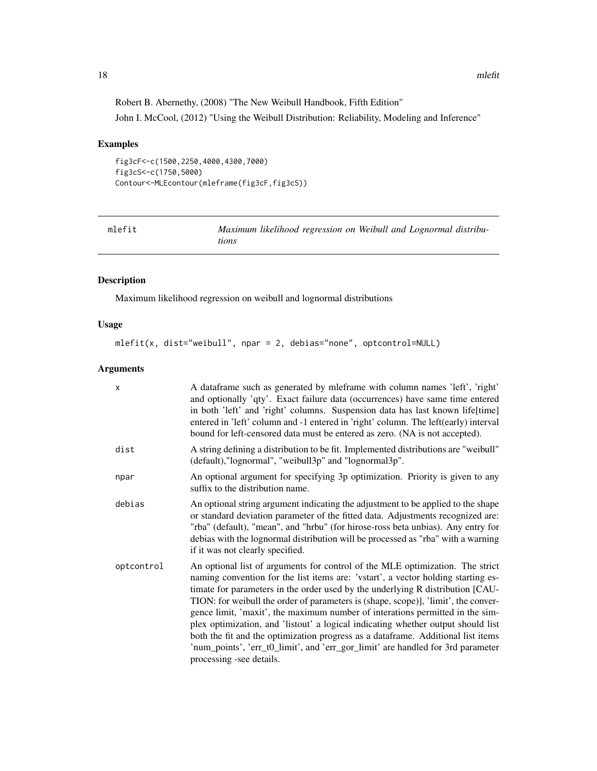<span id="page-17-0"></span>Robert B. Abernethy, (2008) "The New Weibull Handbook, Fifth Edition"

John I. McCool, (2012) "Using the Weibull Distribution: Reliability, Modeling and Inference"

# Examples

```
fig3cF<-c(1500,2250,4000,4300,7000)
fig3cS<-c(1750,5000)
Contour<-MLEcontour(mleframe(fig3cF,fig3cS))
```

| mlefit | Maximum likelihood regression on Weibull and Lognormal distribu- |
|--------|------------------------------------------------------------------|
|        | tions                                                            |

# Description

Maximum likelihood regression on weibull and lognormal distributions

# Usage

 $mleft(x, dist="weibull", npar = 2, debias="none", optcontrol=NULL)$ 

| X          | A dataframe such as generated by mleframe with column names 'left', 'right'<br>and optionally 'qty'. Exact failure data (occurrences) have same time entered<br>in both 'left' and 'right' columns. Suspension data has last known life[time]<br>entered in 'left' column and -1 entered in 'right' column. The left(early) interval<br>bound for left-censored data must be entered as zero. (NA is not accepted).                                                                                                                                                                                                                                                                                                |
|------------|--------------------------------------------------------------------------------------------------------------------------------------------------------------------------------------------------------------------------------------------------------------------------------------------------------------------------------------------------------------------------------------------------------------------------------------------------------------------------------------------------------------------------------------------------------------------------------------------------------------------------------------------------------------------------------------------------------------------|
| dist       | A string defining a distribution to be fit. Implemented distributions are "weibull"<br>(default),"lognormal", "weibull3p" and "lognormal3p".                                                                                                                                                                                                                                                                                                                                                                                                                                                                                                                                                                       |
| npar       | An optional argument for specifying 3p optimization. Priority is given to any<br>suffix to the distribution name.                                                                                                                                                                                                                                                                                                                                                                                                                                                                                                                                                                                                  |
| debias     | An optional string argument indicating the adjustment to be applied to the shape<br>or standard deviation parameter of the fitted data. Adjustments recognized are:<br>"rba" (default), "mean", and "hrbu" (for hirose-ross beta unbias). Any entry for<br>debias with the lognormal distribution will be processed as "rba" with a warning<br>if it was not clearly specified.                                                                                                                                                                                                                                                                                                                                    |
| optcontrol | An optional list of arguments for control of the MLE optimization. The strict<br>naming convention for the list items are: 'vstart', a vector holding starting es-<br>timate for parameters in the order used by the underlying R distribution [CAU-<br>TION: for weibull the order of parameters is (shape, scope)], 'limit', the conver-<br>gence limit, 'maxit', the maximum number of interations permitted in the sim-<br>plex optimization, and 'listout' a logical indicating whether output should list<br>both the fit and the optimization progress as a dataframe. Additional list items<br>'num_points', 'err_t0_limit', and 'err_gor_limit' are handled for 3rd parameter<br>processing -see details. |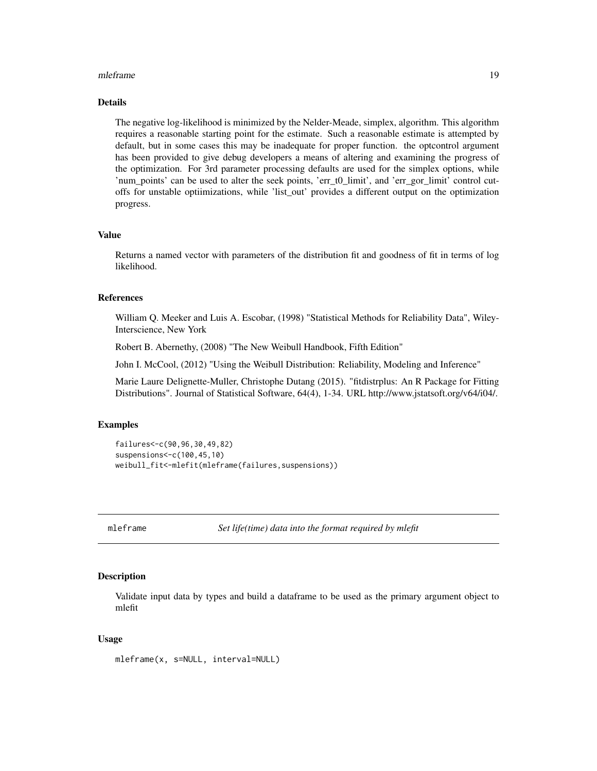#### <span id="page-18-0"></span>mleframe the contract of the contract of the contract of the contract of the contract of the contract of the contract of the contract of the contract of the contract of the contract of the contract of the contract of the c

# Details

The negative log-likelihood is minimized by the Nelder-Meade, simplex, algorithm. This algorithm requires a reasonable starting point for the estimate. Such a reasonable estimate is attempted by default, but in some cases this may be inadequate for proper function. the optcontrol argument has been provided to give debug developers a means of altering and examining the progress of the optimization. For 3rd parameter processing defaults are used for the simplex options, while 'num\_points' can be used to alter the seek points, 'err\_t0\_limit', and 'err\_gor\_limit' control cutoffs for unstable optiimizations, while 'list\_out' provides a different output on the optimization progress.

# Value

Returns a named vector with parameters of the distribution fit and goodness of fit in terms of log likelihood.

#### References

William Q. Meeker and Luis A. Escobar, (1998) "Statistical Methods for Reliability Data", Wiley-Interscience, New York

Robert B. Abernethy, (2008) "The New Weibull Handbook, Fifth Edition"

John I. McCool, (2012) "Using the Weibull Distribution: Reliability, Modeling and Inference"

Marie Laure Delignette-Muller, Christophe Dutang (2015). "fitdistrplus: An R Package for Fitting Distributions". Journal of Statistical Software, 64(4), 1-34. URL http://www.jstatsoft.org/v64/i04/.

#### Examples

```
failures<-c(90,96,30,49,82)
suspensions<-c(100,45,10)
weibull_fit<-mlefit(mleframe(failures,suspensions))
```
<span id="page-18-1"></span>mleframe *Set life(time) data into the format required by mlefit*

#### Description

Validate input data by types and build a dataframe to be used as the primary argument object to mlefit

#### Usage

```
mleframe(x, s=NULL, interval=NULL)
```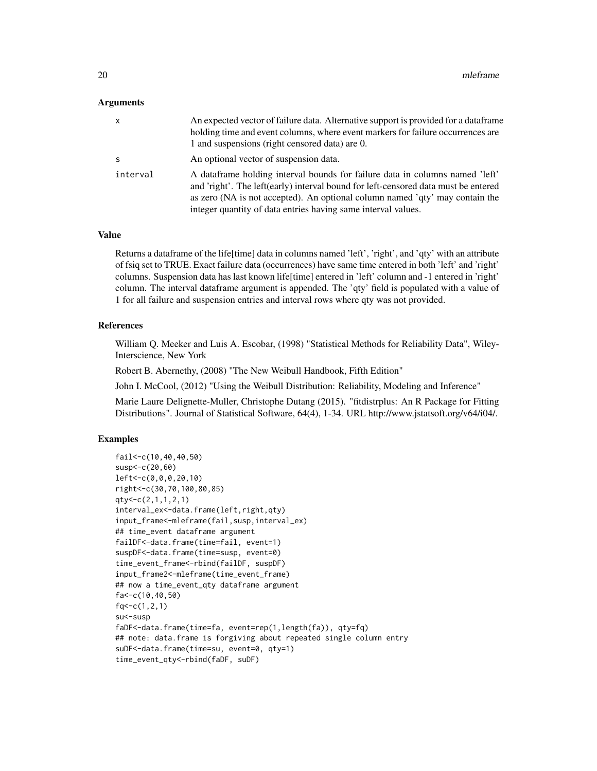#### Arguments

| x        | An expected vector of failure data. Alternative support is provided for a data frame<br>holding time and event columns, where event markers for failure occurrences are<br>1 and suspensions (right censored data) are 0.                                                                                           |
|----------|---------------------------------------------------------------------------------------------------------------------------------------------------------------------------------------------------------------------------------------------------------------------------------------------------------------------|
| S        | An optional vector of suspension data.                                                                                                                                                                                                                                                                              |
| interval | A dataframe holding interval bounds for failure data in columns named 'left'<br>and 'right'. The left(early) interval bound for left-censored data must be entered<br>as zero (NA is not accepted). An optional column named 'qty' may contain the<br>integer quantity of data entries having same interval values. |

# Value

Returns a dataframe of the life[time] data in columns named 'left', 'right', and 'qty' with an attribute of fsiq set to TRUE. Exact failure data (occurrences) have same time entered in both 'left' and 'right' columns. Suspension data has last known life[time] entered in 'left' column and -1 entered in 'right' column. The interval dataframe argument is appended. The 'qty' field is populated with a value of 1 for all failure and suspension entries and interval rows where qty was not provided.

#### References

William Q. Meeker and Luis A. Escobar, (1998) "Statistical Methods for Reliability Data", Wiley-Interscience, New York

Robert B. Abernethy, (2008) "The New Weibull Handbook, Fifth Edition"

John I. McCool, (2012) "Using the Weibull Distribution: Reliability, Modeling and Inference"

Marie Laure Delignette-Muller, Christophe Dutang (2015). "fitdistrplus: An R Package for Fitting Distributions". Journal of Statistical Software, 64(4), 1-34. URL http://www.jstatsoft.org/v64/i04/.

```
fail<-c(10,40,40,50)
susp<-c(20,60)
left<-c(0,0,0,20,10)
right<-c(30,70,100,80,85)
qty<-c(2,1,1,2,1)
interval_ex<-data.frame(left,right,qty)
input_frame<-mleframe(fail,susp,interval_ex)
## time_event dataframe argument
failDF<-data.frame(time=fail, event=1)
suspDF <- data.frame(time=susp, event=0)
time_event_frame<-rbind(failDF, suspDF)
input_frame2<-mleframe(time_event_frame)
## now a time_event_qty dataframe argument
fa<-c(10,40,50)
fq<-c(1,2,1)
su<-susp
faDF<-data.frame(time=fa, event=rep(1,length(fa)), qty=fq)
## note: data.frame is forgiving about repeated single column entry
suDF<-data.frame(time=su, event=0, qty=1)
time_event_qty<-rbind(faDF, suDF)
```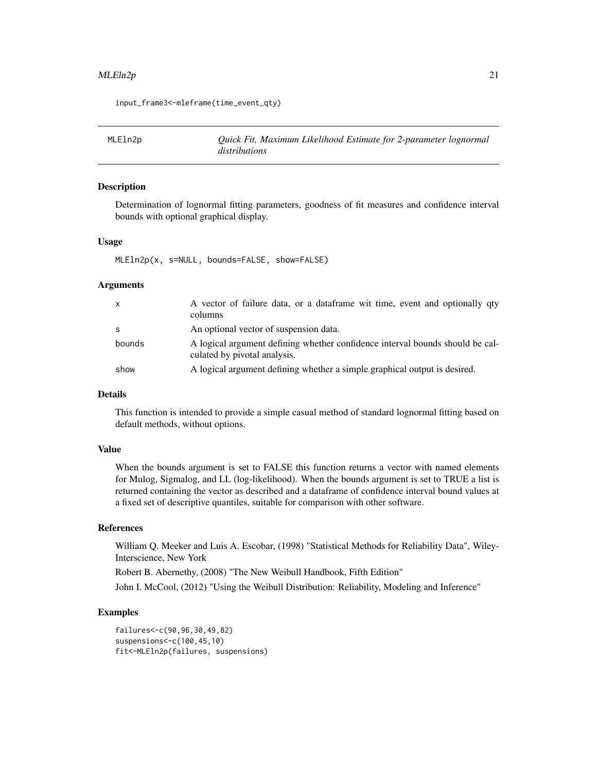#### <span id="page-20-0"></span> $MLEln2p$  21

input\_frame3<-mleframe(time\_event\_qty)

MLEln2p *Quick Fit, Maximum Likelihood Estimate for 2-parameter lognormal distributions*

#### Description

Determination of lognormal fitting parameters, goodness of fit measures and confidence interval bounds with optional graphical display.

#### Usage

```
MLEln2p(x, s=NULL, bounds=FALSE, show=FALSE)
```
#### Arguments

| $\mathsf{x}$ | A vector of failure data, or a data frame wit time, event and optionally qty<br>columns                       |
|--------------|---------------------------------------------------------------------------------------------------------------|
| <sub>S</sub> | An optional vector of suspension data.                                                                        |
| bounds       | A logical argument defining whether confidence interval bounds should be cal-<br>culated by pivotal analysis. |
| show         | A logical argument defining whether a simple graphical output is desired.                                     |

#### Details

This function is intended to provide a simple casual method of standard lognormal fitting based on default methods, without options.

#### Value

When the bounds argument is set to FALSE this function returns a vector with named elements for Mulog, Sigmalog, and LL (log-likelihood). When the bounds argument is set to TRUE a list is returned containing the vector as described and a dataframe of confidence interval bound values at a fixed set of descriptive quantiles, suitable for comparison with other software.

#### References

William Q. Meeker and Luis A. Escobar, (1998) "Statistical Methods for Reliability Data", Wiley-Interscience, New York

Robert B. Abernethy, (2008) "The New Weibull Handbook, Fifth Edition"

John I. McCool, (2012) "Using the Weibull Distribution: Reliability, Modeling and Inference"

```
failures<-c(90,96,30,49,82)
suspensions<-c(100,45,10)
fit<-MLEln2p(failures, suspensions)
```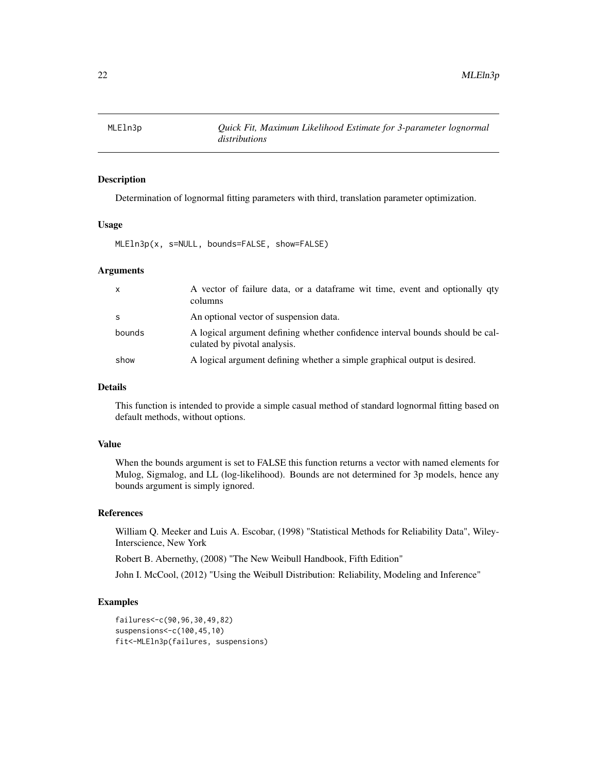<span id="page-21-0"></span>

Determination of lognormal fitting parameters with third, translation parameter optimization.

#### Usage

MLEln3p(x, s=NULL, bounds=FALSE, show=FALSE)

# Arguments

| $\mathsf{x}$ | A vector of failure data, or a dataframe wit time, event and optionally qty<br>columns                        |
|--------------|---------------------------------------------------------------------------------------------------------------|
| <sub>S</sub> | An optional vector of suspension data.                                                                        |
| bounds       | A logical argument defining whether confidence interval bounds should be cal-<br>culated by pivotal analysis. |
| show         | A logical argument defining whether a simple graphical output is desired.                                     |

#### Details

This function is intended to provide a simple casual method of standard lognormal fitting based on default methods, without options.

#### Value

When the bounds argument is set to FALSE this function returns a vector with named elements for Mulog, Sigmalog, and LL (log-likelihood). Bounds are not determined for 3p models, hence any bounds argument is simply ignored.

#### References

William Q. Meeker and Luis A. Escobar, (1998) "Statistical Methods for Reliability Data", Wiley-Interscience, New York

Robert B. Abernethy, (2008) "The New Weibull Handbook, Fifth Edition"

John I. McCool, (2012) "Using the Weibull Distribution: Reliability, Modeling and Inference"

```
failures<-c(90,96,30,49,82)
suspensions<-c(100,45,10)
fit<-MLEln3p(failures, suspensions)
```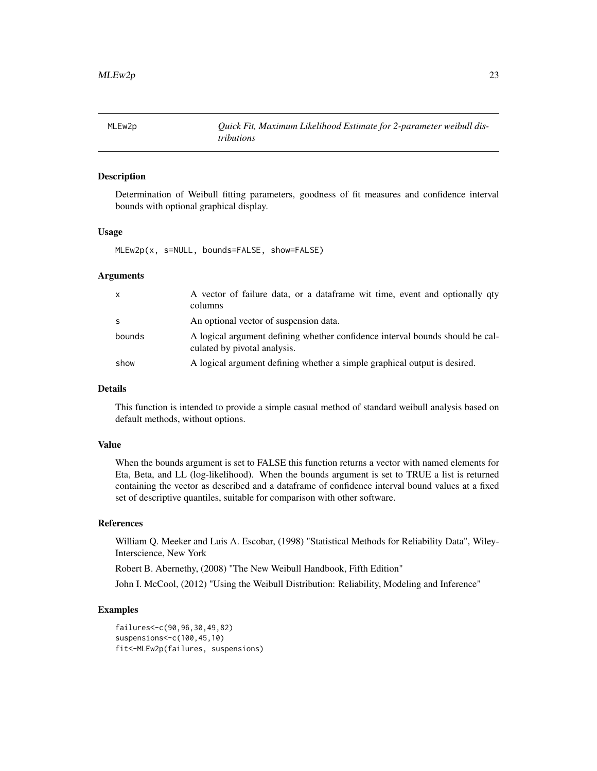<span id="page-22-1"></span><span id="page-22-0"></span>

Determination of Weibull fitting parameters, goodness of fit measures and confidence interval bounds with optional graphical display.

#### Usage

MLEw2p(x, s=NULL, bounds=FALSE, show=FALSE)

#### Arguments

| $\mathsf{x}$ | A vector of failure data, or a data frame wit time, event and optionally qty<br>columns                       |
|--------------|---------------------------------------------------------------------------------------------------------------|
| -S           | An optional vector of suspension data.                                                                        |
| bounds       | A logical argument defining whether confidence interval bounds should be cal-<br>culated by pivotal analysis. |
| show         | A logical argument defining whether a simple graphical output is desired.                                     |

# Details

This function is intended to provide a simple casual method of standard weibull analysis based on default methods, without options.

#### Value

When the bounds argument is set to FALSE this function returns a vector with named elements for Eta, Beta, and LL (log-likelihood). When the bounds argument is set to TRUE a list is returned containing the vector as described and a dataframe of confidence interval bound values at a fixed set of descriptive quantiles, suitable for comparison with other software.

#### References

William Q. Meeker and Luis A. Escobar, (1998) "Statistical Methods for Reliability Data", Wiley-Interscience, New York

Robert B. Abernethy, (2008) "The New Weibull Handbook, Fifth Edition"

John I. McCool, (2012) "Using the Weibull Distribution: Reliability, Modeling and Inference"

```
failures<-c(90,96,30,49,82)
suspensions<-c(100,45,10)
fit<-MLEw2p(failures, suspensions)
```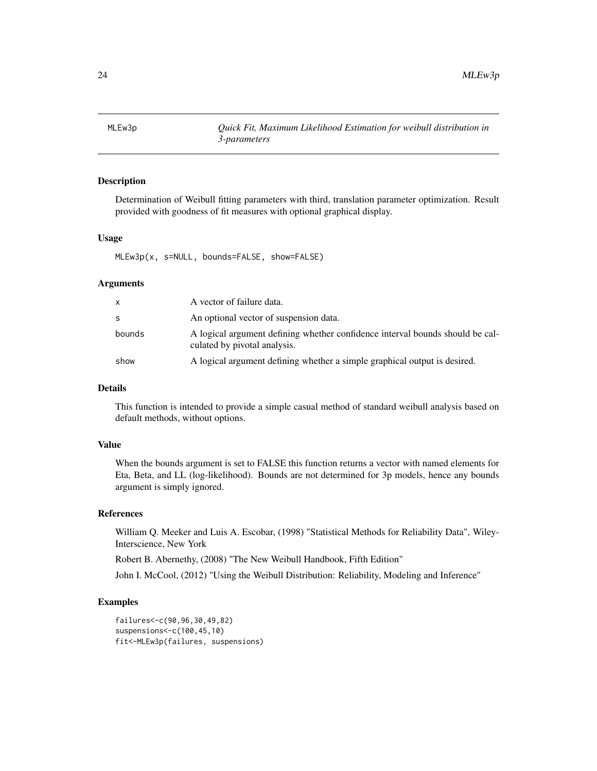<span id="page-23-0"></span>MLEw3p *Quick Fit, Maximum Likelihood Estimation for weibull distribution in 3-parameters*

# Description

Determination of Weibull fitting parameters with third, translation parameter optimization. Result provided with goodness of fit measures with optional graphical display.

#### Usage

MLEw3p(x, s=NULL, bounds=FALSE, show=FALSE)

#### Arguments

| x      | A vector of failure data.                                                                                     |
|--------|---------------------------------------------------------------------------------------------------------------|
| S      | An optional vector of suspension data.                                                                        |
| bounds | A logical argument defining whether confidence interval bounds should be cal-<br>culated by pivotal analysis. |
| show   | A logical argument defining whether a simple graphical output is desired.                                     |

#### Details

This function is intended to provide a simple casual method of standard weibull analysis based on default methods, without options.

# Value

When the bounds argument is set to FALSE this function returns a vector with named elements for Eta, Beta, and LL (log-likelihood). Bounds are not determined for 3p models, hence any bounds argument is simply ignored.

#### References

William Q. Meeker and Luis A. Escobar, (1998) "Statistical Methods for Reliability Data", Wiley-Interscience, New York

Robert B. Abernethy, (2008) "The New Weibull Handbook, Fifth Edition"

John I. McCool, (2012) "Using the Weibull Distribution: Reliability, Modeling and Inference"

```
failures<-c(90,96,30,49,82)
suspensions<-c(100,45,10)
fit<-MLEw3p(failures, suspensions)
```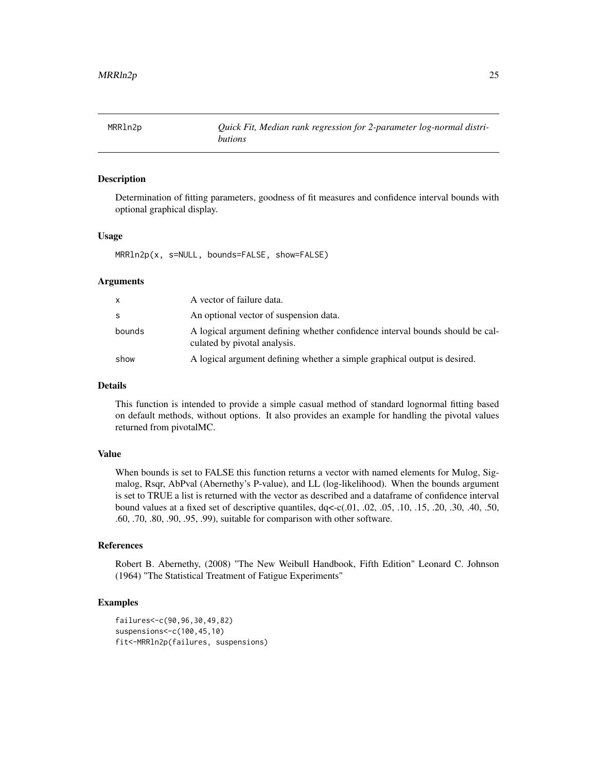<span id="page-24-0"></span>

Determination of fitting parameters, goodness of fit measures and confidence interval bounds with optional graphical display.

#### Usage

MRRln2p(x, s=NULL, bounds=FALSE, show=FALSE)

#### Arguments

| X      | A vector of failure data.                                                                                     |
|--------|---------------------------------------------------------------------------------------------------------------|
| S      | An optional vector of suspension data.                                                                        |
| bounds | A logical argument defining whether confidence interval bounds should be cal-<br>culated by pivotal analysis. |
| show   | A logical argument defining whether a simple graphical output is desired.                                     |

#### Details

This function is intended to provide a simple casual method of standard lognormal fitting based on default methods, without options. It also provides an example for handling the pivotal values returned from pivotalMC.

#### Value

When bounds is set to FALSE this function returns a vector with named elements for Mulog, Sigmalog, Rsqr, AbPval (Abernethy's P-value), and LL (log-likelihood). When the bounds argument is set to TRUE a list is returned with the vector as described and a dataframe of confidence interval bound values at a fixed set of descriptive quantiles,  $dq < c(0.01, 0.02, 0.05, 0.10, 0.15, 0.20, 0.30, 0.40, 0.50, 0.50)$ .60, .70, .80, .90, .95, .99), suitable for comparison with other software.

# References

Robert B. Abernethy, (2008) "The New Weibull Handbook, Fifth Edition" Leonard C. Johnson (1964) "The Statistical Treatment of Fatigue Experiments"

```
failures<-c(90,96,30,49,82)
suspensions<-c(100,45,10)
fit<-MRRln2p(failures, suspensions)
```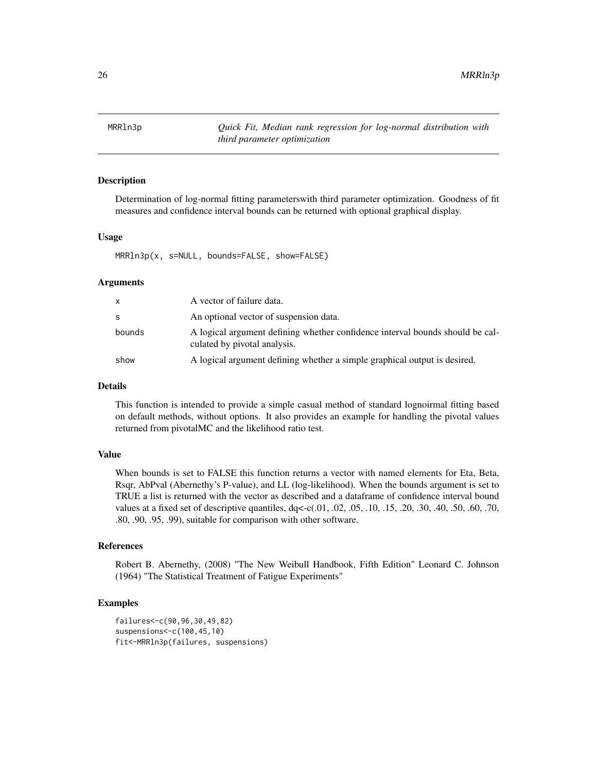<span id="page-25-1"></span><span id="page-25-0"></span>MRRln3p *Quick Fit, Median rank regression for log-normal distribution with third parameter optimization*

#### Description

Determination of log-normal fitting parameterswith third parameter optimization. Goodness of fit measures and confidence interval bounds can be returned with optional graphical display.

#### Usage

MRRln3p(x, s=NULL, bounds=FALSE, show=FALSE)

#### Arguments

| x      | A vector of failure data.                                                                                     |
|--------|---------------------------------------------------------------------------------------------------------------|
| S      | An optional vector of suspension data.                                                                        |
| bounds | A logical argument defining whether confidence interval bounds should be cal-<br>culated by pivotal analysis. |
| show   | A logical argument defining whether a simple graphical output is desired.                                     |

#### Details

This function is intended to provide a simple casual method of standard lognoirmal fitting based on default methods, without options. It also provides an example for handling the pivotal values returned from pivotalMC and the likelihood ratio test.

#### Value

When bounds is set to FALSE this function returns a vector with named elements for Eta, Beta, Rsqr, AbPval (Abernethy's P-value), and LL (log-likelihood). When the bounds argument is set to TRUE a list is returned with the vector as described and a dataframe of confidence interval bound values at a fixed set of descriptive quantiles,  $dq < c(0.01, 0.02, 0.05, 0.10, 0.15, 0.20, 0.30, 0.40, 0.50, 0.60, 0.70, 0.60)$ .80, .90, .95, .99), suitable for comparison with other software.

#### References

Robert B. Abernethy, (2008) "The New Weibull Handbook, Fifth Edition" Leonard C. Johnson (1964) "The Statistical Treatment of Fatigue Experiments"

```
failures<-c(90,96,30,49,82)
suspensions<-c(100,45,10)
fit<-MRRln3p(failures, suspensions)
```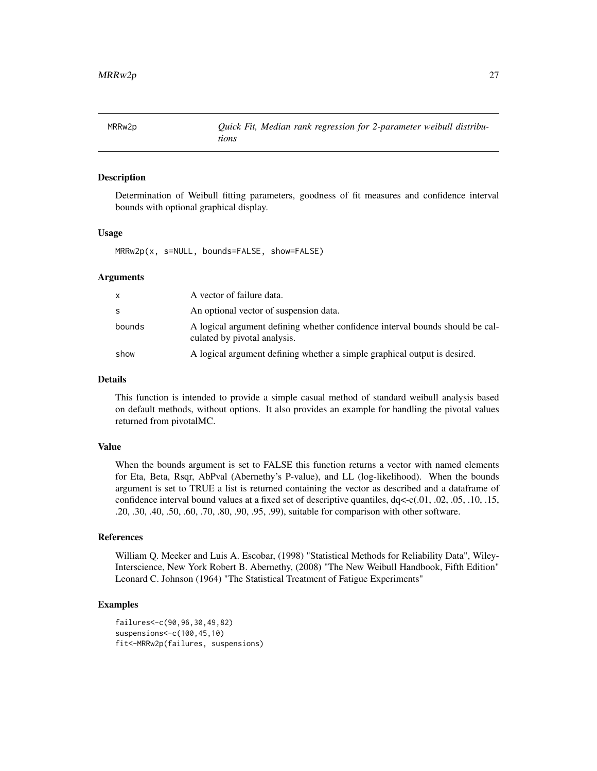<span id="page-26-0"></span>

Determination of Weibull fitting parameters, goodness of fit measures and confidence interval bounds with optional graphical display.

#### Usage

MRRw2p(x, s=NULL, bounds=FALSE, show=FALSE)

#### Arguments

| x      | A vector of failure data.                                                                                     |
|--------|---------------------------------------------------------------------------------------------------------------|
| S      | An optional vector of suspension data.                                                                        |
| bounds | A logical argument defining whether confidence interval bounds should be cal-<br>culated by pivotal analysis. |
| show   | A logical argument defining whether a simple graphical output is desired.                                     |

#### Details

This function is intended to provide a simple casual method of standard weibull analysis based on default methods, without options. It also provides an example for handling the pivotal values returned from pivotalMC.

#### Value

When the bounds argument is set to FALSE this function returns a vector with named elements for Eta, Beta, Rsqr, AbPval (Abernethy's P-value), and LL (log-likelihood). When the bounds argument is set to TRUE a list is returned containing the vector as described and a dataframe of confidence interval bound values at a fixed set of descriptive quantiles, dq<-c(.01, .02, .05, .10, .15, .20, .30, .40, .50, .60, .70, .80, .90, .95, .99), suitable for comparison with other software.

#### References

William Q. Meeker and Luis A. Escobar, (1998) "Statistical Methods for Reliability Data", Wiley-Interscience, New York Robert B. Abernethy, (2008) "The New Weibull Handbook, Fifth Edition" Leonard C. Johnson (1964) "The Statistical Treatment of Fatigue Experiments"

```
failures<-c(90,96,30,49,82)
suspensions<-c(100,45,10)
fit<-MRRw2p(failures, suspensions)
```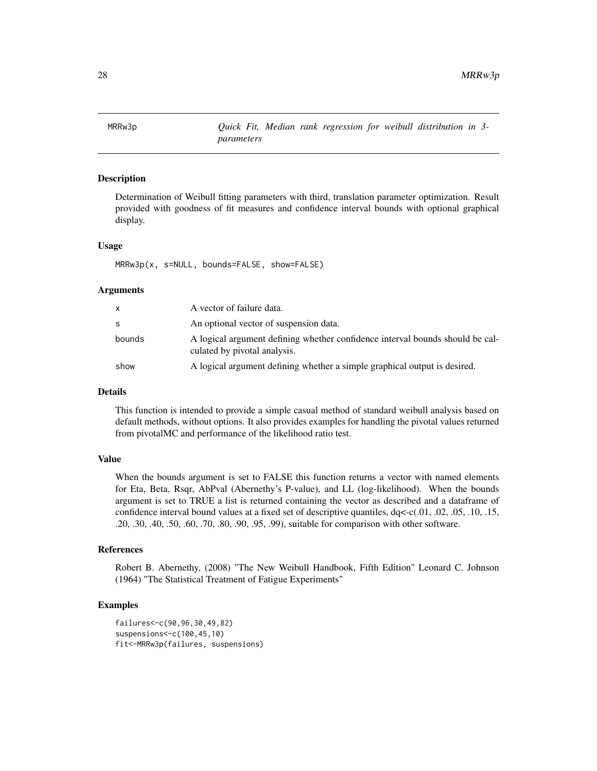<span id="page-27-0"></span>28 MRRw3p

MRRw3p *Quick Fit, Median rank regression for weibull distribution in 3 parameters*

#### Description

Determination of Weibull fitting parameters with third, translation parameter optimization. Result provided with goodness of fit measures and confidence interval bounds with optional graphical display.

#### Usage

MRRw3p(x, s=NULL, bounds=FALSE, show=FALSE)

#### Arguments

| x      | A vector of failure data.                                                                                     |
|--------|---------------------------------------------------------------------------------------------------------------|
| S      | An optional vector of suspension data.                                                                        |
| bounds | A logical argument defining whether confidence interval bounds should be cal-<br>culated by pivotal analysis. |
| show   | A logical argument defining whether a simple graphical output is desired.                                     |

# Details

This function is intended to provide a simple casual method of standard weibull analysis based on default methods, without options. It also provides examples for handling the pivotal values returned from pivotalMC and performance of the likelihood ratio test.

#### Value

When the bounds argument is set to FALSE this function returns a vector with named elements for Eta, Beta, Rsqr, AbPval (Abernethy's P-value), and LL (log-likelihood). When the bounds argument is set to TRUE a list is returned containing the vector as described and a dataframe of confidence interval bound values at a fixed set of descriptive quantiles, dq<-c(.01, .02, .05, .10, .15, .20, .30, .40, .50, .60, .70, .80, .90, .95, .99), suitable for comparison with other software.

#### References

Robert B. Abernethy, (2008) "The New Weibull Handbook, Fifth Edition" Leonard C. Johnson (1964) "The Statistical Treatment of Fatigue Experiments"

```
failures<-c(90,96,30,49,82)
suspensions<-c(100,45,10)
fit<-MRRw3p(failures, suspensions)
```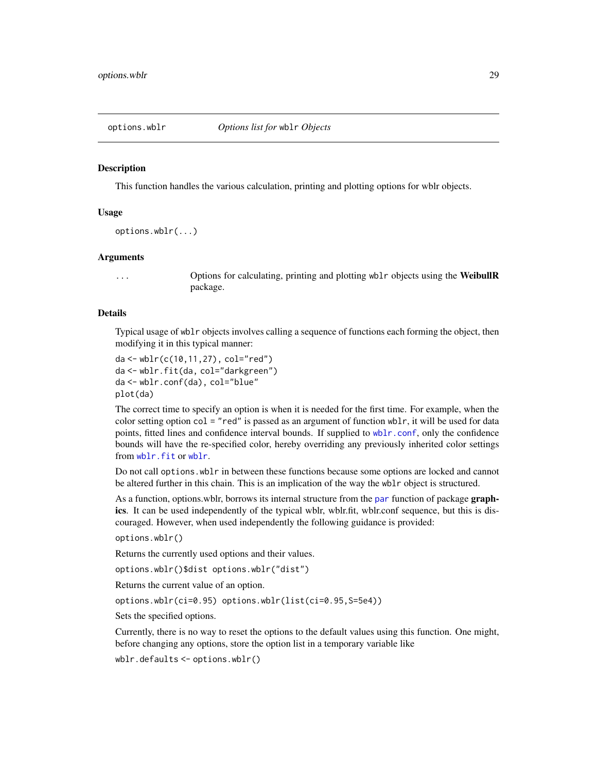<span id="page-28-1"></span><span id="page-28-0"></span>

This function handles the various calculation, printing and plotting options for wblr objects.

#### Usage

options.wblr(...)

#### Arguments

... Options for calculating, printing and plotting wblr objects using the WeibullR package.

#### Details

Typical usage of wblr objects involves calling a sequence of functions each forming the object, then modifying it in this typical manner:

```
da <- wblr(c(10,11,27), col="red")
da <- wblr.fit(da, col="darkgreen")
da <- wblr.conf(da), col="blue"
plot(da)
```
The correct time to specify an option is when it is needed for the first time. For example, when the color setting option col = "red" is passed as an argument of function wblr, it will be used for data points, fitted lines and confidence interval bounds. If supplied to [wblr.conf](#page-41-1), only the confidence bounds will have the re-specified color, hereby overriding any previously inherited color settings from [wblr.fit](#page-43-1) or [wblr](#page-38-1).

Do not call options.wblr in between these functions because some options are locked and cannot be altered further in this chain. This is an implication of the way the wblr object is structured.

As a function, options.wblr, borrows its internal structure from the [par](#page-0-0) function of package graphics. It can be used independently of the typical wblr, wblr.fit, wblr.conf sequence, but this is discouraged. However, when used independently the following guidance is provided:

options.wblr()

Returns the currently used options and their values.

options.wblr()\$dist options.wblr("dist")

Returns the current value of an option.

options.wblr(ci=0.95) options.wblr(list(ci=0.95,S=5e4))

Sets the specified options.

Currently, there is no way to reset the options to the default values using this function. One might, before changing any options, store the option list in a temporary variable like

wblr.defaults <- options.wblr()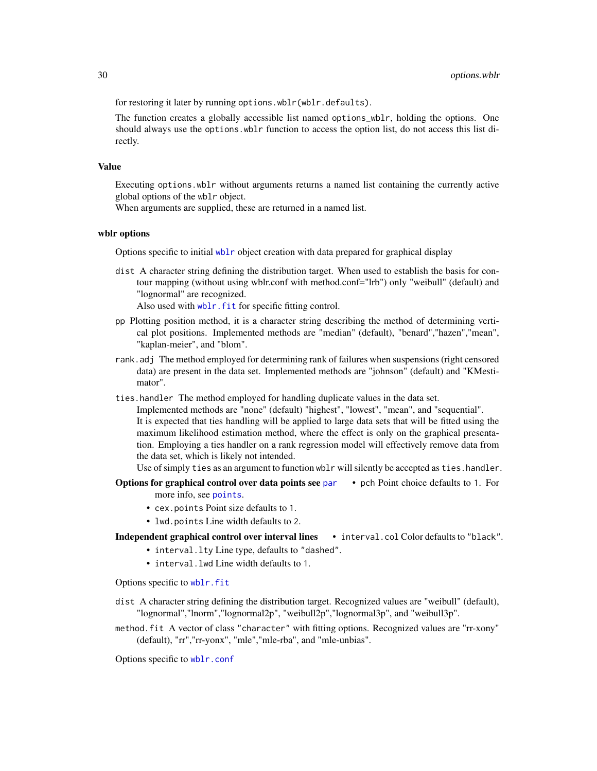<span id="page-29-0"></span>for restoring it later by running options.wblr(wblr.defaults).

The function creates a globally accessible list named options\_wblr, holding the options. One should always use the options.wblr function to access the option list, do not access this list directly.

#### Value

Executing options.wblr without arguments returns a named list containing the currently active global options of the wblr object.

When arguments are supplied, these are returned in a named list.

#### wblr options

Options specific to initial [wblr](#page-38-1) object creation with data prepared for graphical display

dist A character string defining the distribution target. When used to establish the basis for contour mapping (without using wblr.conf with method.conf="lrb") only "weibull" (default) and "lognormal" are recognized.

Also used with wblr. fit for specific fitting control.

- pp Plotting position method, it is a character string describing the method of determining vertical plot positions. Implemented methods are "median" (default), "benard","hazen","mean", "kaplan-meier", and "blom".
- rank.adj The method employed for determining rank of failures when suspensions (right censored data) are present in the data set. Implemented methods are "johnson" (default) and "KMestimator".
- ties.handler The method employed for handling duplicate values in the data set.

Implemented methods are "none" (default) "highest", "lowest", "mean", and "sequential". It is expected that ties handling will be applied to large data sets that will be fitted using the maximum likelihood estimation method, where the effect is only on the graphical presentation. Employing a ties handler on a rank regression model will effectively remove data from the data set, which is likely not intended.

Use of simply ties as an argument to function wblr will silently be accepted as ties.handler.

- Options for graphical control over data points see [par](#page-0-0) pch Point choice defaults to 1. For more info, see [points](#page-0-0).
	- cex.points Point size defaults to 1.
	- lwd.points Line width defaults to 2.

Independent graphical control over interval lines • interval.col Color defaults to "black".

- interval.lty Line type, defaults to "dashed".
- interval.lwd Line width defaults to 1.

Options specific to [wblr.fit](#page-43-1)

- dist A character string defining the distribution target. Recognized values are "weibull" (default), "lognormal","lnorm","lognormal2p", "weibull2p","lognormal3p", and "weibull3p".
- method.fit A vector of class "character" with fitting options. Recognized values are "rr-xony" (default), "rr","rr-yonx", "mle","mle-rba", and "mle-unbias".

Options specific to [wblr.conf](#page-41-1)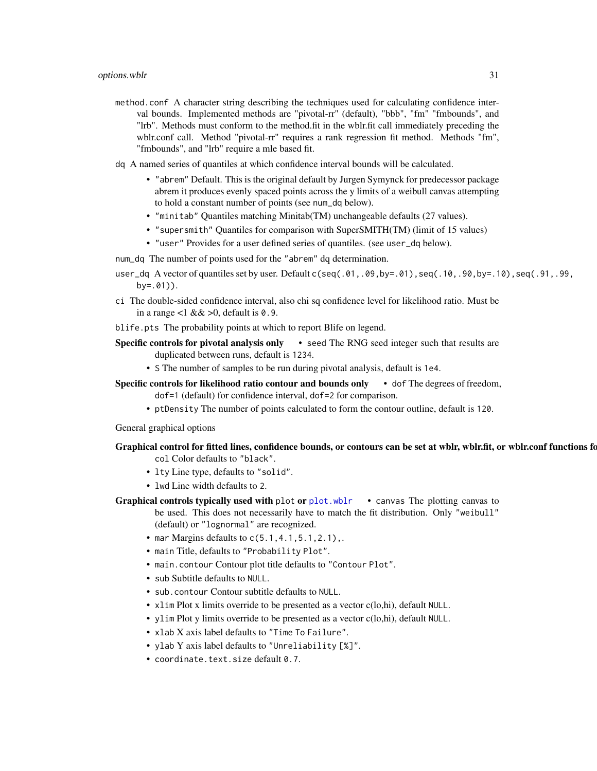- <span id="page-30-0"></span>method.conf A character string describing the techniques used for calculating confidence interval bounds. Implemented methods are "pivotal-rr" (default), "bbb", "fm" "fmbounds", and "lrb". Methods must conform to the method.fit in the wblr.fit call immediately preceding the wblr.conf call. Method "pivotal-rr" requires a rank regression fit method. Methods "fm", "fmbounds", and "lrb" require a mle based fit.
- dq A named series of quantiles at which confidence interval bounds will be calculated.
	- "abrem" Default. This is the original default by Jurgen Symynck for predecessor package abrem it produces evenly spaced points across the y limits of a weibull canvas attempting to hold a constant number of points (see num\_dq below).
	- "minitab" Quantiles matching Minitab(TM) unchangeable defaults (27 values).
	- "supersmith" Quantiles for comparison with SuperSMITH(TM) (limit of 15 values)
	- "user" Provides for a user defined series of quantiles. (see user\_dq below).

num\_dq The number of points used for the "abrem" dq determination.

- user\_dq A vector of quantiles set by user. Default c(seq(.01,.09,by=.01),seq(.10,.90,by=.10),seq(.91,.99,  $by = .01)$ .
- ci The double-sided confidence interval, also chi sq confidence level for likelihood ratio. Must be in a range  $<1$  & &  $>0$ , default is 0.9.

blife.pts The probability points at which to report Blife on legend.

Specific controls for pivotal analysis only • seed The RNG seed integer such that results are duplicated between runs, default is 1234.

- S The number of samples to be run during pivotal analysis, default is 1e4.
- Specific controls for likelihood ratio contour and bounds only dof The degrees of freedom, dof=1 (default) for confidence interval, dof=2 for comparison.
	- ptDensity The number of points calculated to form the contour outline, default is 120.

General graphical options

- Graphical control for fitted lines, confidence bounds, or contours can be set at wblr, wblr.fit, or wblr.conf functions for col Color defaults to "black".
	- lty Line type, defaults to "solid".
	- lwd Line width defaults to 2.
- **Graphical controls typically used with plot or [plot.wblr](#page-34-1)** canvas The plotting canvas to be used. This does not necessarily have to match the fit distribution. Only "weibull"

(default) or "lognormal" are recognized.

- mar Margins defaults to  $c(5.1, 4.1, 5.1, 2.1)$ ,.
- main Title, defaults to "Probability Plot".
- main.contour Contour plot title defaults to "Contour Plot".
- sub Subtitle defaults to NULL.
- sub.contour Contour subtitle defaults to NULL.
- xlim Plot x limits override to be presented as a vector c(lo,hi), default NULL.
- ylim Plot y limits override to be presented as a vector c(lo,hi), default NULL.
- xlab X axis label defaults to "Time To Failure".
- ylab Y axis label defaults to "Unreliability [%]".
- coordinate.text.size default 0.7.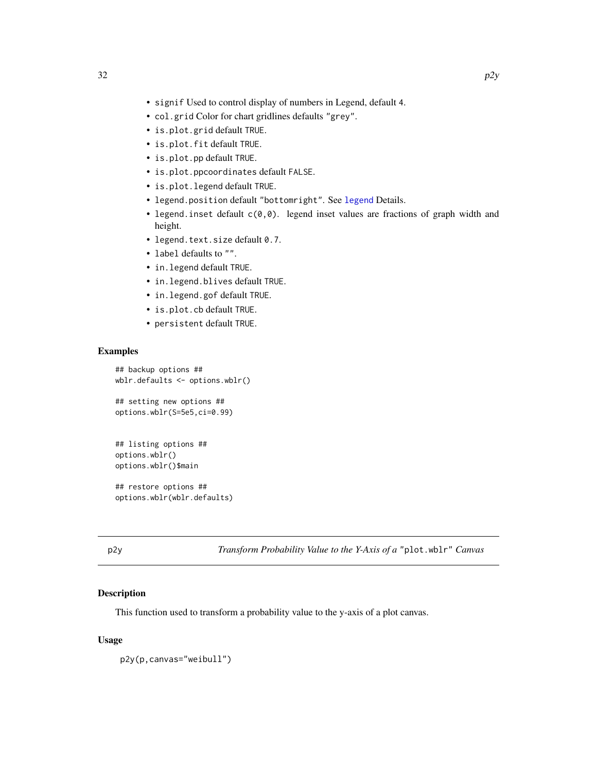- <span id="page-31-0"></span>• signif Used to control display of numbers in Legend, default 4.
- col.grid Color for chart gridlines defaults "grey".
- is.plot.grid default TRUE.
- is.plot.fit default TRUE.
- is.plot.pp default TRUE.
- is.plot.ppcoordinates default FALSE.
- is.plot.legend default TRUE.
- legend.position default "bottomright". See [legend](#page-0-0) Details.
- legend.inset default c(0,0). legend inset values are fractions of graph width and height.
- legend.text.size default 0.7.
- label defaults to "".
- in.legend default TRUE.
- in.legend.blives default TRUE.
- in.legend.gof default TRUE.
- is.plot.cb default TRUE.
- persistent default TRUE.

```
## backup options ##
wblr.defaults <- options.wblr()
## setting new options ##
options.wblr(S=5e5,ci=0.99)
```
## listing options ## options.wblr() options.wblr()\$main

## restore options ## options.wblr(wblr.defaults)

p2y *Transform Probability Value to the Y-Axis of a* "plot.wblr" *Canvas*

#### **Description**

This function used to transform a probability value to the y-axis of a plot canvas.

#### Usage

p2y(p,canvas="weibull")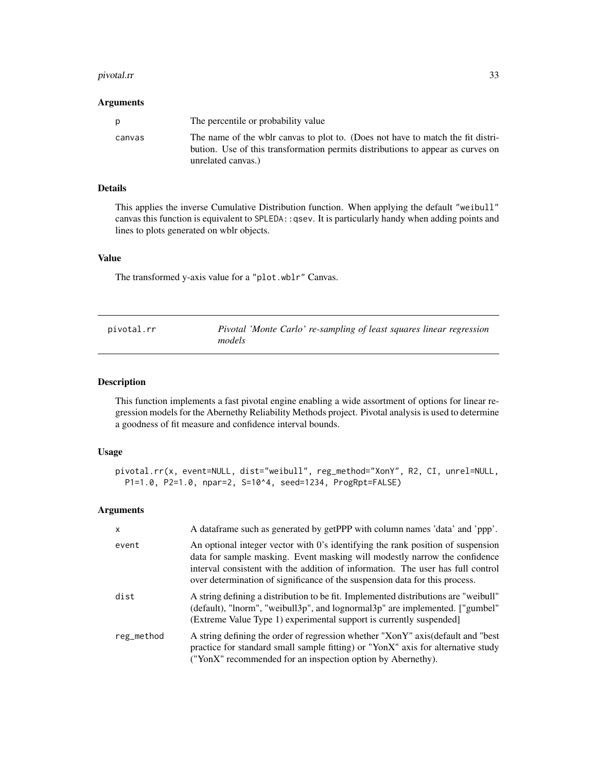#### <span id="page-32-0"></span>pivotal.rr 33

#### Arguments

| p      | The percentile or probability value                                                                                                                                                      |
|--------|------------------------------------------------------------------------------------------------------------------------------------------------------------------------------------------|
| canvas | The name of the wblr canvas to plot to. (Does not have to match the fit distri-<br>bution. Use of this transformation permits distributions to appear as curves on<br>unrelated canvas.) |

# Details

This applies the inverse Cumulative Distribution function. When applying the default "weibull" canvas this function is equivalent to SPLEDA: : qsev. It is particularly handy when adding points and lines to plots generated on wblr objects.

# Value

The transformed y-axis value for a "plot.wblr" Canvas.

| pivotal.rr | Pivotal 'Monte Carlo' re-sampling of least squares linear regression |
|------------|----------------------------------------------------------------------|
|            | models                                                               |

# Description

This function implements a fast pivotal engine enabling a wide assortment of options for linear regression models for the Abernethy Reliability Methods project. Pivotal analysis is used to determine a goodness of fit measure and confidence interval bounds.

#### Usage

```
pivotal.rr(x, event=NULL, dist="weibull", reg_method="XonY", R2, CI, unrel=NULL,
 P1=1.0, P2=1.0, npar=2, S=10^4, seed=1234, ProgRpt=FALSE)
```

| $\mathsf{x}$ | A dataframe such as generated by getPPP with column names 'data' and 'ppp'.                                                                                                                                                                                                                                                     |
|--------------|---------------------------------------------------------------------------------------------------------------------------------------------------------------------------------------------------------------------------------------------------------------------------------------------------------------------------------|
| event        | An optional integer vector with 0's identifying the rank position of suspension<br>data for sample masking. Event masking will modestly narrow the confidence<br>interval consistent with the addition of information. The user has full control<br>over determination of significance of the suspension data for this process. |
| dist         | A string defining a distribution to be fit. Implemented distributions are "weibull"<br>(default), "lnorm", "weibull3p", and lognormal3p" are implemented. ["gumbel"<br>(Extreme Value Type 1) experimental support is currently suspended                                                                                       |
| reg_method   | A string defining the order of regression whether "XonY" axis (default and "best"<br>practice for standard small sample fitting) or "YonX" axis for alternative study<br>("YonX" recommended for an inspection option by Abernethy).                                                                                            |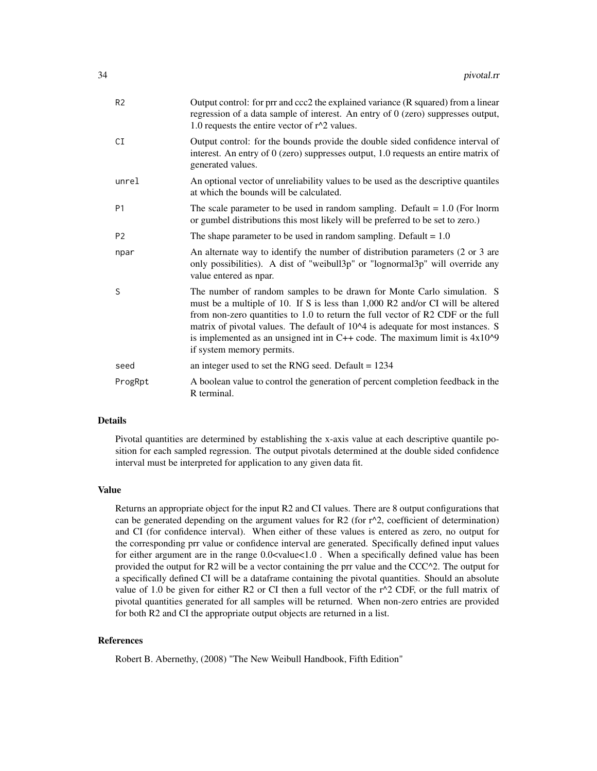| R <sub>2</sub> | Output control: for prr and ccc2 the explained variance (R squared) from a linear<br>regression of a data sample of interest. An entry of 0 (zero) suppresses output,<br>1.0 requests the entire vector of $r^2$ values.                                                                                                                                                                                                                          |
|----------------|---------------------------------------------------------------------------------------------------------------------------------------------------------------------------------------------------------------------------------------------------------------------------------------------------------------------------------------------------------------------------------------------------------------------------------------------------|
| CI             | Output control: for the bounds provide the double sided confidence interval of<br>interest. An entry of $0$ (zero) suppresses output, 1.0 requests an entire matrix of<br>generated values.                                                                                                                                                                                                                                                       |
| unrel          | An optional vector of unreliability values to be used as the descriptive quantiles<br>at which the bounds will be calculated.                                                                                                                                                                                                                                                                                                                     |
| P <sub>1</sub> | The scale parameter to be used in random sampling. Default $= 1.0$ (For lnorm<br>or gumbel distributions this most likely will be preferred to be set to zero.)                                                                                                                                                                                                                                                                                   |
| P <sub>2</sub> | The shape parameter to be used in random sampling. Default $= 1.0$                                                                                                                                                                                                                                                                                                                                                                                |
| npar           | An alternate way to identify the number of distribution parameters (2 or 3 are<br>only possibilities). A dist of "weibull3p" or "lognormal3p" will override any<br>value entered as npar.                                                                                                                                                                                                                                                         |
| S              | The number of random samples to be drawn for Monte Carlo simulation. S<br>must be a multiple of 10. If S is less than 1,000 R2 and/or CI will be altered<br>from non-zero quantities to $1.0$ to return the full vector of R2 CDF or the full<br>matrix of pivotal values. The default of 10^4 is adequate for most instances. S<br>is implemented as an unsigned int in $C++$ code. The maximum limit is $4x10^{9}$<br>if system memory permits. |
| seed           | an integer used to set the RNG seed. Default $= 1234$                                                                                                                                                                                                                                                                                                                                                                                             |
| ProgRpt        | A boolean value to control the generation of percent completion feedback in the<br>R terminal.                                                                                                                                                                                                                                                                                                                                                    |

#### Details

Pivotal quantities are determined by establishing the x-axis value at each descriptive quantile position for each sampled regression. The output pivotals determined at the double sided confidence interval must be interpreted for application to any given data fit.

#### Value

Returns an appropriate object for the input R2 and CI values. There are 8 output configurations that can be generated depending on the argument values for R2 (for  $r^2$ , coefficient of determination) and CI (for confidence interval). When either of these values is entered as zero, no output for the corresponding prr value or confidence interval are generated. Specifically defined input values for either argument are in the range 0.0<value<1.0. When a specifically defined value has been provided the output for R2 will be a vector containing the prr value and the CCC^2. The output for a specifically defined CI will be a dataframe containing the pivotal quantities. Should an absolute value of 1.0 be given for either R2 or CI then a full vector of the  $r^2$  CDF, or the full matrix of pivotal quantities generated for all samples will be returned. When non-zero entries are provided for both R2 and CI the appropriate output objects are returned in a list.

#### References

Robert B. Abernethy, (2008) "The New Weibull Handbook, Fifth Edition"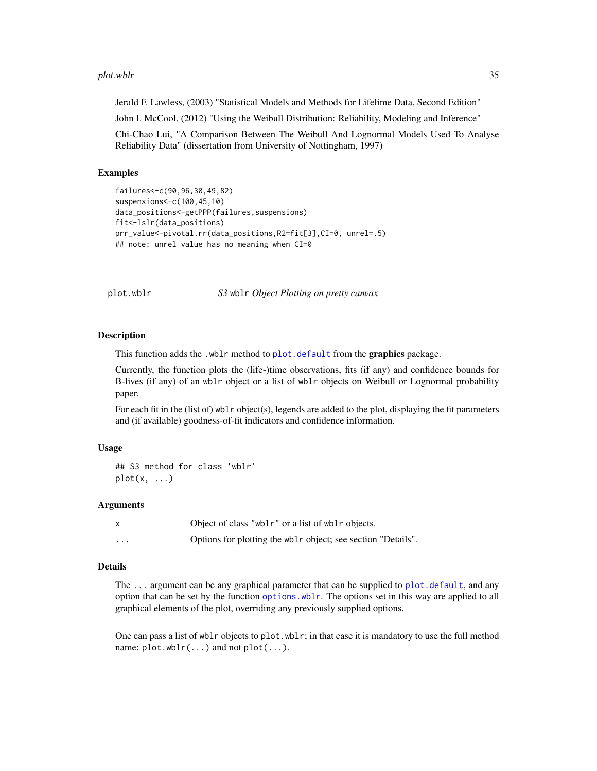#### <span id="page-34-0"></span>plot.wblr 35

Jerald F. Lawless, (2003) "Statistical Models and Methods for Lifelime Data, Second Edition"

John I. McCool, (2012) "Using the Weibull Distribution: Reliability, Modeling and Inference"

Chi-Chao Lui, "A Comparison Between The Weibull And Lognormal Models Used To Analyse Reliability Data" (dissertation from University of Nottingham, 1997)

#### Examples

```
failures<-c(90,96,30,49,82)
suspensions<-c(100,45,10)
data_positions<-getPPP(failures, suspensions)
fit<-lslr(data_positions)
prr_value<-pivotal.rr(data_positions,R2=fit[3],CI=0, unrel=.5)
## note: unrel value has no meaning when CI=0
```
<span id="page-34-1"></span>plot.wblr *S3* wblr *Object Plotting on pretty canvax*

#### **Description**

This function adds the .wblr method to [plot.default](#page-0-0) from the graphics package.

Currently, the function plots the (life-)time observations, fits (if any) and confidence bounds for B-lives (if any) of an wblr object or a list of wblr objects on Weibull or Lognormal probability paper.

For each fit in the (list of) wblr object(s), legends are added to the plot, displaying the fit parameters and (if available) goodness-of-fit indicators and confidence information.

#### Usage

```
## S3 method for class 'wblr'
plot(x, \ldots)
```
#### Arguments

|          | Object of class "wblr" or a list of wblr objects.            |
|----------|--------------------------------------------------------------|
| $\cdots$ | Options for plotting the wblr object; see section "Details". |

#### Details

The ... argument can be any graphical parameter that can be supplied to [plot.default](#page-0-0), and any option that can be set by the function [options.wblr](#page-28-1). The options set in this way are applied to all graphical elements of the plot, overriding any previously supplied options.

One can pass a list of wblr objects to plot.wblr; in that case it is mandatory to use the full method name:  $plot.wblr(...)$  and not  $plot(...)$ .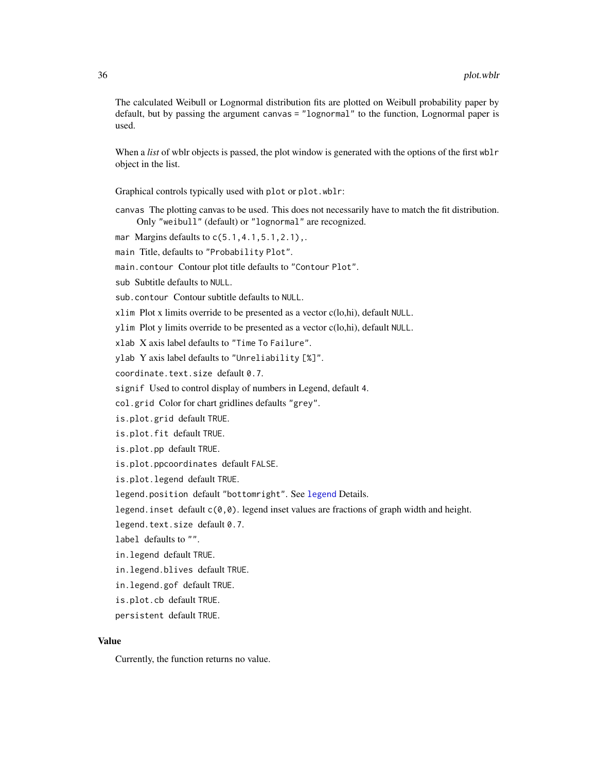<span id="page-35-0"></span>The calculated Weibull or Lognormal distribution fits are plotted on Weibull probability paper by default, but by passing the argument canvas = "lognormal" to the function, Lognormal paper is used.

When a *list* of wblr objects is passed, the plot window is generated with the options of the first wblr object in the list.

Graphical controls typically used with plot or plot.wblr:

canvas The plotting canvas to be used. This does not necessarily have to match the fit distribution. Only "weibull" (default) or "lognormal" are recognized.

mar Margins defaults to  $c(5.1, 4.1, 5.1, 2.1)$ ,.

main Title, defaults to "Probability Plot".

main.contour Contour plot title defaults to "Contour Plot".

sub Subtitle defaults to NULL.

sub.contour Contour subtitle defaults to NULL.

xlim Plot x limits override to be presented as a vector c(lo,hi), default NULL.

ylim Plot y limits override to be presented as a vector c(lo,hi), default NULL.

xlab X axis label defaults to "Time To Failure".

ylab Y axis label defaults to "Unreliability [%]".

coordinate.text.size default 0.7.

signif Used to control display of numbers in Legend, default 4.

col.grid Color for chart gridlines defaults "grey".

is.plot.grid default TRUE.

is.plot.fit default TRUE.

is.plot.pp default TRUE.

is.plot.ppcoordinates default FALSE.

is.plot.legend default TRUE.

legend.position default "bottomright". See [legend](#page-0-0) Details.

legend.inset default c(0,0). legend inset values are fractions of graph width and height.

legend.text.size default 0.7.

label defaults to "".

in.legend default TRUE.

in.legend.blives default TRUE.

in.legend.gof default TRUE.

is.plot.cb default TRUE.

persistent default TRUE.

#### Value

Currently, the function returns no value.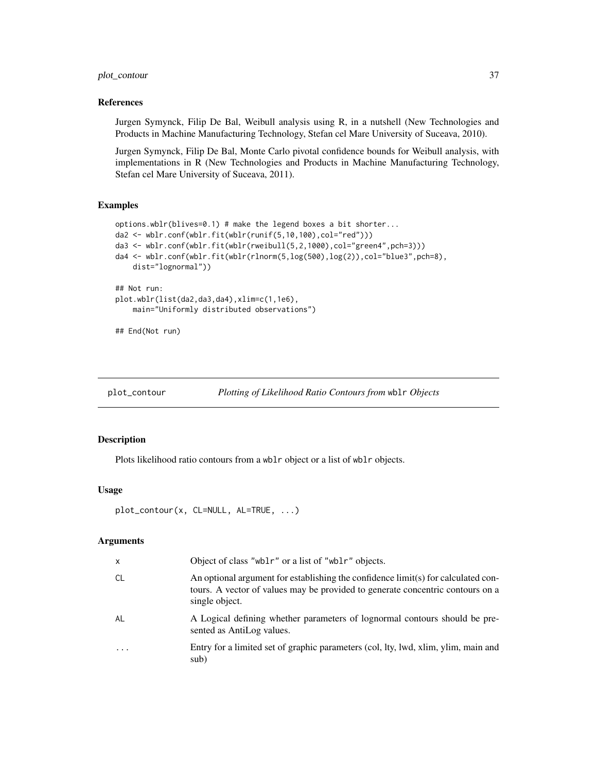# <span id="page-36-0"></span>plot\_contour 37

#### References

Jurgen Symynck, Filip De Bal, Weibull analysis using R, in a nutshell (New Technologies and Products in Machine Manufacturing Technology, Stefan cel Mare University of Suceava, 2010).

Jurgen Symynck, Filip De Bal, Monte Carlo pivotal confidence bounds for Weibull analysis, with implementations in R (New Technologies and Products in Machine Manufacturing Technology, Stefan cel Mare University of Suceava, 2011).

#### Examples

```
options.wblr(blives=0.1) # make the legend boxes a bit shorter...
da2 <- wblr.conf(wblr.fit(wblr(runif(5,10,100),col="red")))
da3 <- wblr.conf(wblr.fit(wblr(rweibull(5,2,1000),col="green4",pch=3)))
da4 <- wblr.conf(wblr.fit(wblr(rlnorm(5,log(500),log(2)),col="blue3",pch=8),
   dist="lognormal"))
## Not run:
plot.wblr(list(da2,da3,da4),xlim=c(1,1e6),
   main="Uniformly distributed observations")
## End(Not run)
```
<span id="page-36-1"></span>plot\_contour *Plotting of Likelihood Ratio Contours from* wblr *Objects*

# Description

Plots likelihood ratio contours from a wblr object or a list of wblr objects.

#### Usage

```
plot_contour(x, CL=NULL, AL=TRUE, ...)
```

| x  | Object of class "wblr" or a list of "wblr" objects.                                                                                                                                   |
|----|---------------------------------------------------------------------------------------------------------------------------------------------------------------------------------------|
| CL | An optional argument for establishing the confidence limit(s) for calculated con-<br>tours. A vector of values may be provided to generate concentric contours on a<br>single object. |
| AL | A Logical defining whether parameters of lognormal contours should be pre-<br>sented as AntiLog values.                                                                               |
| .  | Entry for a limited set of graphic parameters (col, lty, lwd, xlim, ylim, main and<br>sub)                                                                                            |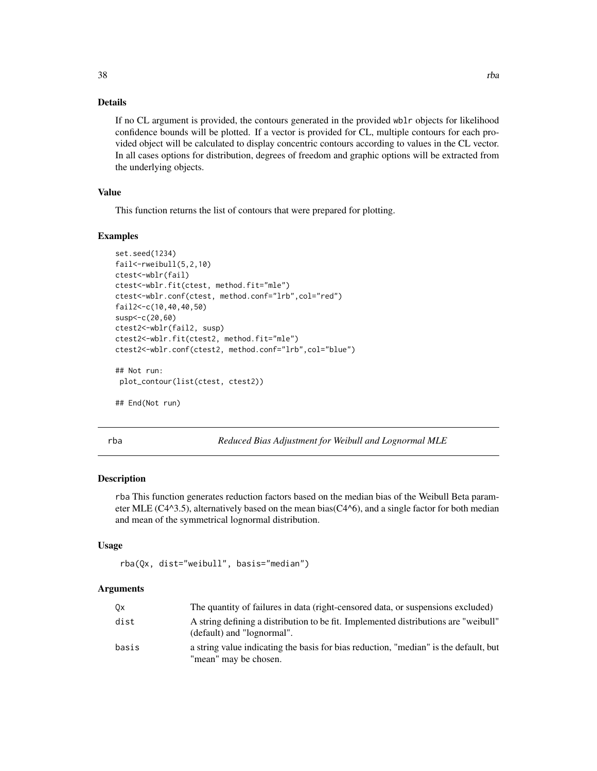#### <span id="page-37-0"></span>Details

If no CL argument is provided, the contours generated in the provided wblr objects for likelihood confidence bounds will be plotted. If a vector is provided for CL, multiple contours for each provided object will be calculated to display concentric contours according to values in the CL vector. In all cases options for distribution, degrees of freedom and graphic options will be extracted from the underlying objects.

#### Value

This function returns the list of contours that were prepared for plotting.

#### Examples

```
set.seed(1234)
fail -rweibull(5, 2, 10)ctest<-wblr(fail)
ctest<-wblr.fit(ctest, method.fit="mle")
ctest<-wblr.conf(ctest, method.conf="lrb",col="red")
fail2<-c(10,40,40,50)
susp<-c(20,60)
ctest2<-wblr(fail2, susp)
ctest2<-wblr.fit(ctest2, method.fit="mle")
ctest2<-wblr.conf(ctest2, method.conf="lrb",col="blue")
## Not run:
 plot_contour(list(ctest, ctest2))
```

```
## End(Not run)
```
rba *Reduced Bias Adjustment for Weibull and Lognormal MLE*

#### Description

rba This function generates reduction factors based on the median bias of the Weibull Beta parameter MLE ( $C4^{\wedge}3.5$ ), alternatively based on the mean bias( $C4^{\wedge}6$ ), and a single factor for both median and mean of the symmetrical lognormal distribution.

# Usage

```
rba(Qx, dist="weibull", basis="median")
```

| 0x    | The quantity of failures in data (right-censored data, or suspensions excluded)                                   |
|-------|-------------------------------------------------------------------------------------------------------------------|
| dist  | A string defining a distribution to be fit. Implemented distributions are "weibull"<br>(default) and "lognormal". |
| basis | a string value indicating the basis for bias reduction, "median" is the default, but<br>"mean" may be chosen.     |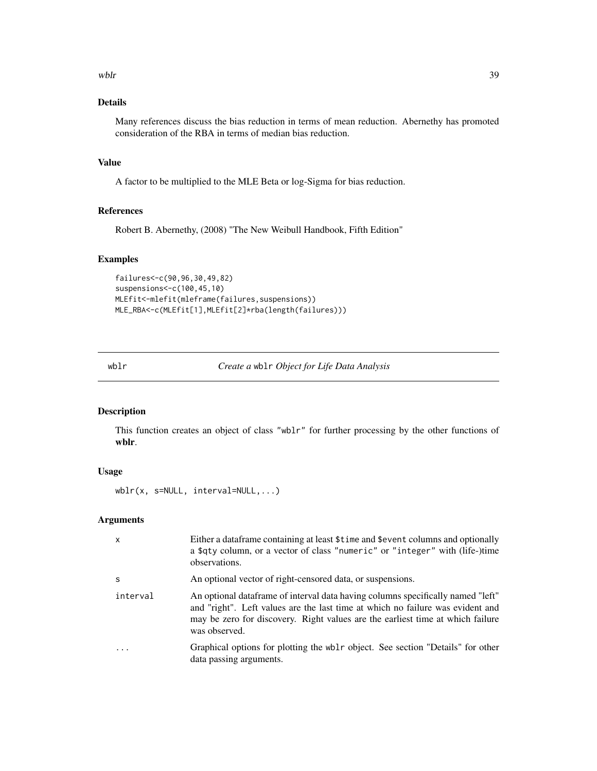<span id="page-38-0"></span>where the state of the state of the state of the state of the state of the state of the state of the state of the state of the state of the state of the state of the state of the state of the state of the state of the stat

# Details

Many references discuss the bias reduction in terms of mean reduction. Abernethy has promoted consideration of the RBA in terms of median bias reduction.

# Value

A factor to be multiplied to the MLE Beta or log-Sigma for bias reduction.

# References

Robert B. Abernethy, (2008) "The New Weibull Handbook, Fifth Edition"

#### Examples

```
failures<-c(90,96,30,49,82)
suspensions<-c(100,45,10)
MLEfit<-mlefit(mleframe(failures,suspensions))
MLE_RBA<-c(MLEfit[1],MLEfit[2]*rba(length(failures)))
```
<span id="page-38-1"></span>wblr *Create a* wblr *Object for Life Data Analysis*

# Description

This function creates an object of class "wblr" for further processing by the other functions of wblr.

# Usage

wblr(x, s=NULL, interval=NULL,...)

| $\mathsf{x}$ | Either a data frame containing at least \$time and \$event columns and optionally<br>a \$qty column, or a vector of class "numeric" or "integer" with (life-)time<br>observations.                                                                                    |
|--------------|-----------------------------------------------------------------------------------------------------------------------------------------------------------------------------------------------------------------------------------------------------------------------|
| <sub>S</sub> | An optional vector of right-censored data, or suspensions.                                                                                                                                                                                                            |
| interval     | An optional data frame of interval data having columns specifically named "left"<br>and "right". Left values are the last time at which no failure was evident and<br>may be zero for discovery. Right values are the earliest time at which failure<br>was observed. |
|              | Graphical options for plotting the wblr object. See section "Details" for other<br>data passing arguments.                                                                                                                                                            |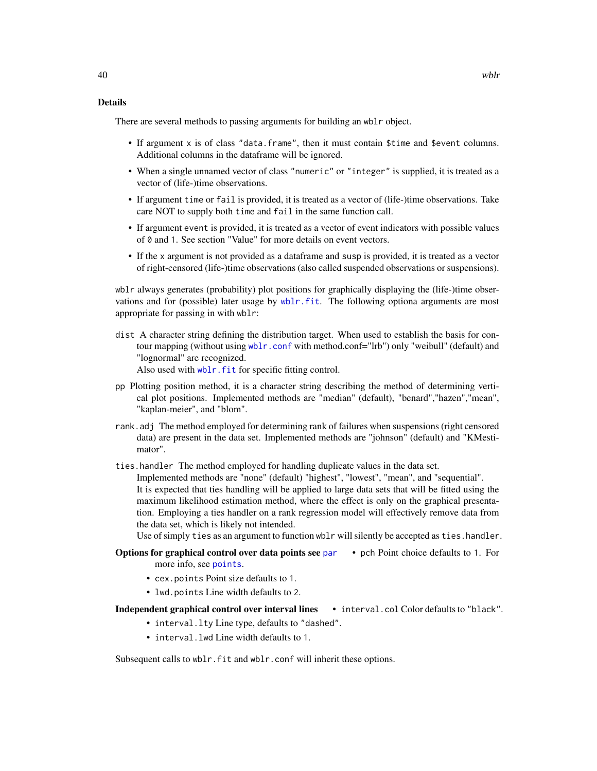#### <span id="page-39-0"></span>Details

There are several methods to passing arguments for building an wblr object.

- If argument x is of class "data.frame", then it must contain \$time and \$event columns. Additional columns in the dataframe will be ignored.
- When a single unnamed vector of class "numeric" or "integer" is supplied, it is treated as a vector of (life-)time observations.
- If argument time or fail is provided, it is treated as a vector of (life-)time observations. Take care NOT to supply both time and fail in the same function call.
- If argument event is provided, it is treated as a vector of event indicators with possible values of 0 and 1. See section "Value" for more details on event vectors.
- If the x argument is not provided as a dataframe and susp is provided, it is treated as a vector of right-censored (life-)time observations (also called suspended observations or suspensions).

wblr always generates (probability) plot positions for graphically displaying the (life-)time observations and for (possible) later usage by [wblr.fit](#page-43-1). The following optiona arguments are most appropriate for passing in with wblr:

- dist A character string defining the distribution target. When used to establish the basis for contour mapping (without using [wblr.conf](#page-41-1) with method.conf="lrb") only "weibull" (default) and "lognormal" are recognized. Also used with wblr. fit for specific fitting control.
- pp Plotting position method, it is a character string describing the method of determining vertical plot positions. Implemented methods are "median" (default), "benard","hazen","mean", "kaplan-meier", and "blom".
- rank.adj The method employed for determining rank of failures when suspensions (right censored data) are present in the data set. Implemented methods are "johnson" (default) and "KMestimator".
- ties.handler The method employed for handling duplicate values in the data set. Implemented methods are "none" (default) "highest", "lowest", "mean", and "sequential". It is expected that ties handling will be applied to large data sets that will be fitted using the maximum likelihood estimation method, where the effect is only on the graphical presentation. Employing a ties handler on a rank regression model will effectively remove data from the data set, which is likely not intended.

Use of simply ties as an argument to function wblr will silently be accepted as ties.handler.

- Options for graphical control over data points see [par](#page-0-0) pch Point choice defaults to 1. For more info, see [points](#page-0-0).
	- cex.points Point size defaults to 1.
	- lwd.points Line width defaults to 2.
- Independent graphical control over interval lines interval.col Color defaults to "black".
	- interval.lty Line type, defaults to "dashed".
		- interval.lwd Line width defaults to 1.

Subsequent calls to wblr.fit and wblr.conf will inherit these options.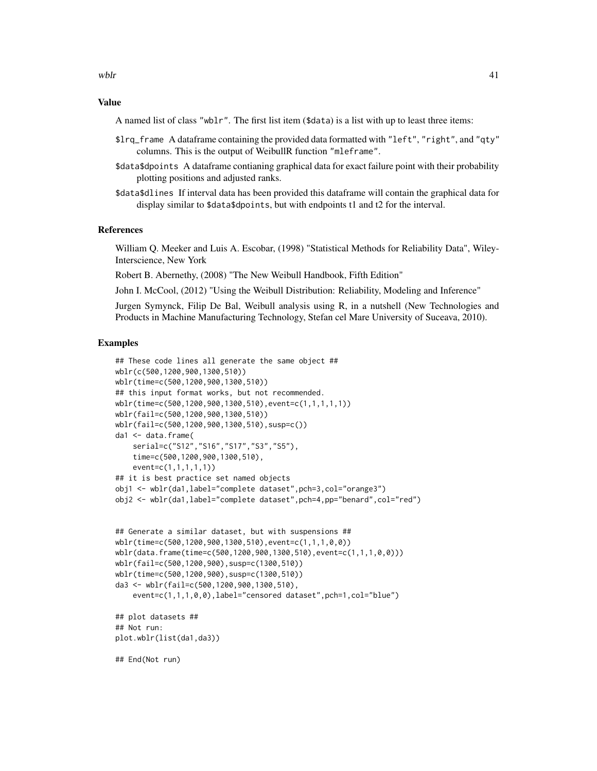where  $\frac{41}{41}$ 

#### Value

A named list of class "wblr". The first list item (\$data) is a list with up to least three items:

- \$lrq\_frame A dataframe containing the provided data formatted with "left", "right", and "qty" columns. This is the output of WeibullR function "mleframe".
- \$data\$dpoints A dataframe contianing graphical data for exact failure point with their probability plotting positions and adjusted ranks.
- \$data\$dlines If interval data has been provided this dataframe will contain the graphical data for display similar to \$data\$dpoints, but with endpoints t1 and t2 for the interval.

#### References

William Q. Meeker and Luis A. Escobar, (1998) "Statistical Methods for Reliability Data", Wiley-Interscience, New York

Robert B. Abernethy, (2008) "The New Weibull Handbook, Fifth Edition"

John I. McCool, (2012) "Using the Weibull Distribution: Reliability, Modeling and Inference"

Jurgen Symynck, Filip De Bal, Weibull analysis using R, in a nutshell (New Technologies and Products in Machine Manufacturing Technology, Stefan cel Mare University of Suceava, 2010).

```
## These code lines all generate the same object ##
wblr(c(500,1200,900,1300,510))
wblr(time=c(500,1200,900,1300,510))
## this input format works, but not recommended.
wblr(time=c(500,1200,900,1300,510),event=c(1,1,1,1,1))
wblr(fail=c(500,1200,900,1300,510))
wblr(fail=c(500,1200,900,1300,510),susp=c())
da1 <- data.frame(
    serial=c("S12","S16","S17","S3","S5"),
    time=c(500,1200,900,1300,510),
    event=c(1,1,1,1,1))
## it is best practice set named objects
obj1 <- wblr(da1,label="complete dataset",pch=3,col="orange3")
obj2 <- wblr(da1,label="complete dataset",pch=4,pp="benard",col="red")
## Generate a similar dataset, but with suspensions ##
wblr(time=c(500,1200,900,1300,510),event=c(1,1,1,0,0))
wblr(data.frame(time=c(500,1200,900,1300,510),event=c(1,1,1,0,0)))
wblr(fail=c(500,1200,900),susp=c(1300,510))
wblr(time=c(500,1200,900),susp=c(1300,510))
da3 <- wblr(fail=c(500,1200,900,1300,510),
    event=c(1,1,1,0,0),label="censored dataset",pch=1,col="blue")
## plot datasets ##
## Not run:
plot.wblr(list(da1,da3))
## End(Not run)
```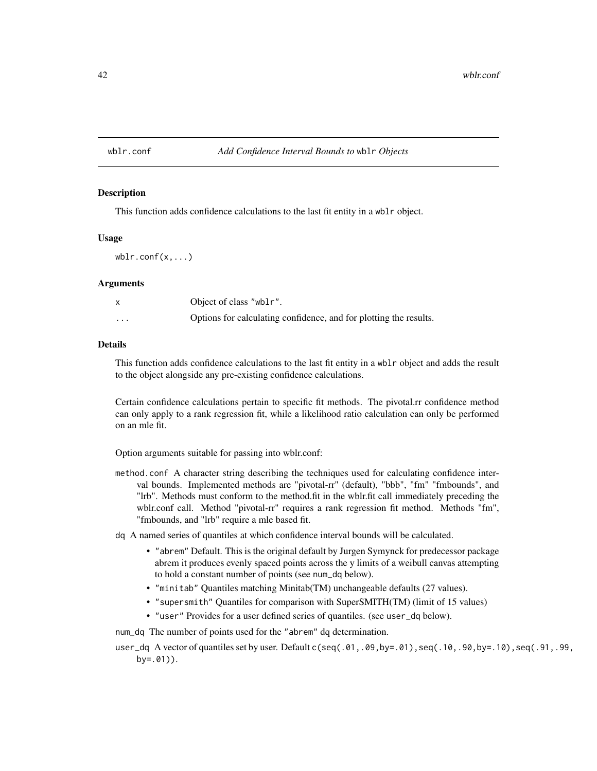<span id="page-41-0"></span>

#### <span id="page-41-1"></span>wblr.conf *Add Confidence Interval Bounds to* wblr *Objects*

#### Description

This function adds confidence calculations to the last fit entity in a wblr object.

#### Usage

```
wblr.comf(x,...)
```
#### Arguments

|                         | Object of class "wblr".                                           |
|-------------------------|-------------------------------------------------------------------|
| $\cdot$ $\cdot$ $\cdot$ | Options for calculating confidence, and for plotting the results. |

#### Details

This function adds confidence calculations to the last fit entity in a wblr object and adds the result to the object alongside any pre-existing confidence calculations.

Certain confidence calculations pertain to specific fit methods. The pivotal.rr confidence method can only apply to a rank regression fit, while a likelihood ratio calculation can only be performed on an mle fit.

Option arguments suitable for passing into wblr.conf:

method.conf A character string describing the techniques used for calculating confidence interval bounds. Implemented methods are "pivotal-rr" (default), "bbb", "fm" "fmbounds", and "lrb". Methods must conform to the method.fit in the wblr.fit call immediately preceding the wblr.conf call. Method "pivotal-rr" requires a rank regression fit method. Methods "fm", "fmbounds, and "lrb" require a mle based fit.

dq A named series of quantiles at which confidence interval bounds will be calculated.

- "abrem" Default. This is the original default by Jurgen Symynck for predecessor package abrem it produces evenly spaced points across the y limits of a weibull canvas attempting to hold a constant number of points (see num\_dq below).
- "minitab" Quantiles matching Minitab(TM) unchangeable defaults (27 values).
- "supersmith" Quantiles for comparison with SuperSMITH(TM) (limit of 15 values)
- "user" Provides for a user defined series of quantiles. (see user\_dq below).

num\_dq The number of points used for the "abrem" dq determination.

user\_dq A vector of quantiles set by user. Default c(seq(.01,.09,by=.01),seq(.10,.90,by=.10),seq(.91,.99, by=.01)).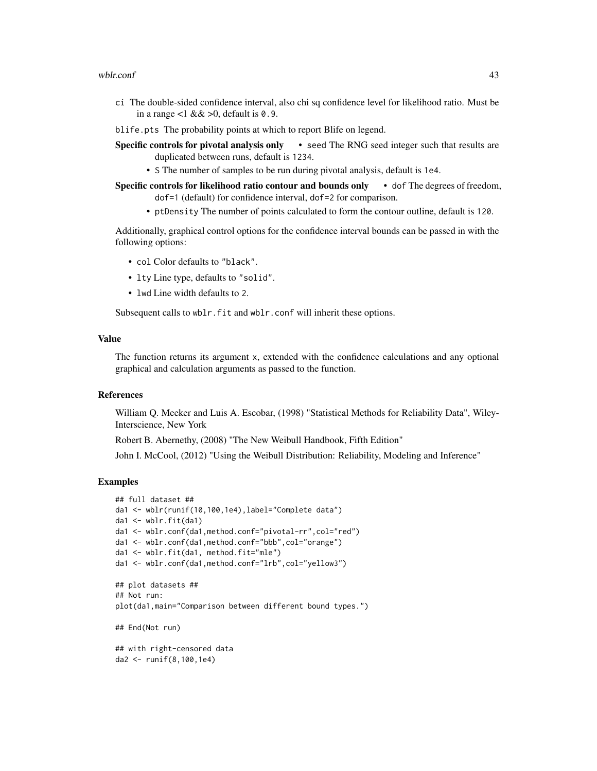#### wblr.conf 43

- ci The double-sided confidence interval, also chi sq confidence level for likelihood ratio. Must be in a range  $<1$  &  $\&$   $>0$ , default is 0.9.
- blife.pts The probability points at which to report Blife on legend.
- Specific controls for pivotal analysis only seed The RNG seed integer such that results are duplicated between runs, default is 1234.
	- S The number of samples to be run during pivotal analysis, default is 1e4.
- Specific controls for likelihood ratio contour and bounds only dof The degrees of freedom, dof=1 (default) for confidence interval, dof=2 for comparison.
	- ptDensity The number of points calculated to form the contour outline, default is 120.

Additionally, graphical control options for the confidence interval bounds can be passed in with the following options:

- col Color defaults to "black".
- lty Line type, defaults to "solid".
- lwd Line width defaults to 2.

Subsequent calls to wblr.fit and wblr.conf will inherit these options.

# Value

The function returns its argument x, extended with the confidence calculations and any optional graphical and calculation arguments as passed to the function.

#### References

William Q. Meeker and Luis A. Escobar, (1998) "Statistical Methods for Reliability Data", Wiley-Interscience, New York

Robert B. Abernethy, (2008) "The New Weibull Handbook, Fifth Edition"

John I. McCool, (2012) "Using the Weibull Distribution: Reliability, Modeling and Inference"

```
## full dataset ##
da1 <- wblr(runif(10,100,1e4),label="Complete data")
da1 <- wblr.fit(da1)
da1 <- wblr.conf(da1,method.conf="pivotal-rr",col="red")
da1 <- wblr.conf(da1,method.conf="bbb",col="orange")
da1 <- wblr.fit(da1, method.fit="mle")
da1 <- wblr.conf(da1,method.conf="lrb",col="yellow3")
## plot datasets ##
## Not run:
plot(da1,main="Comparison between different bound types.")
## End(Not run)
## with right-censored data
da2 <- runif(8,100,1e4)
```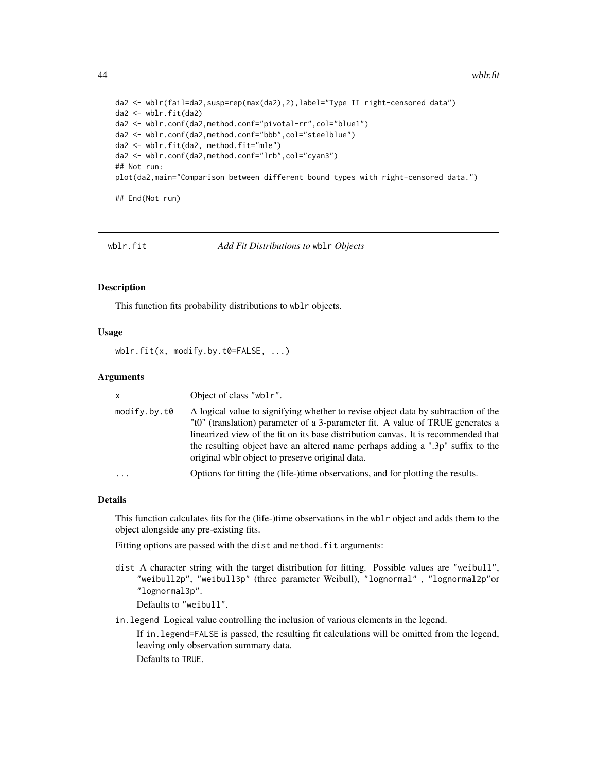```
da2 <- wblr(fail=da2,susp=rep(max(da2),2),label="Type II right-censored data")
da2 <- wblr.fit(da2)
da2 <- wblr.conf(da2,method.conf="pivotal-rr",col="blue1")
da2 <- wblr.conf(da2,method.conf="bbb",col="steelblue")
da2 <- wblr.fit(da2, method.fit="mle")
da2 <- wblr.conf(da2,method.conf="lrb",col="cyan3")
## Not run:
plot(da2,main="Comparison between different bound types with right-censored data.")
## End(Not run)
```
<span id="page-43-1"></span>

wblr.fit *Add Fit Distributions to* wblr *Objects*

#### Description

This function fits probability distributions to wblr objects.

#### Usage

wblr.fit(x, modify.by.t0=FALSE, ...)

#### Arguments

| <b>X</b>     | Object of class "wblr".                                                                                                                                                                                                                                                                                                                                                                        |
|--------------|------------------------------------------------------------------------------------------------------------------------------------------------------------------------------------------------------------------------------------------------------------------------------------------------------------------------------------------------------------------------------------------------|
| modify.by.t0 | A logical value to signifying whether to revise object data by subtraction of the<br>"t0" (translation) parameter of a 3-parameter fit. A value of TRUE generates a<br>linearized view of the fit on its base distribution canvas. It is recommended that<br>the resulting object have an altered name perhaps adding a ".3p" suffix to the<br>original wblr object to preserve original data. |
| $\cdots$     | Options for fitting the (life-)time observations, and for plotting the results.                                                                                                                                                                                                                                                                                                                |

# Details

This function calculates fits for the (life-)time observations in the wblr object and adds them to the object alongside any pre-existing fits.

Fitting options are passed with the dist and method.fit arguments:

dist A character string with the target distribution for fitting. Possible values are "weibull", "weibull2p", "weibull3p" (three parameter Weibull), "lognormal" , "lognormal2p"or "lognormal3p".

Defaults to "weibull".

in.legend Logical value controlling the inclusion of various elements in the legend.

If in.legend=FALSE is passed, the resulting fit calculations will be omitted from the legend, leaving only observation summary data.

Defaults to TRUE.

<span id="page-43-0"></span>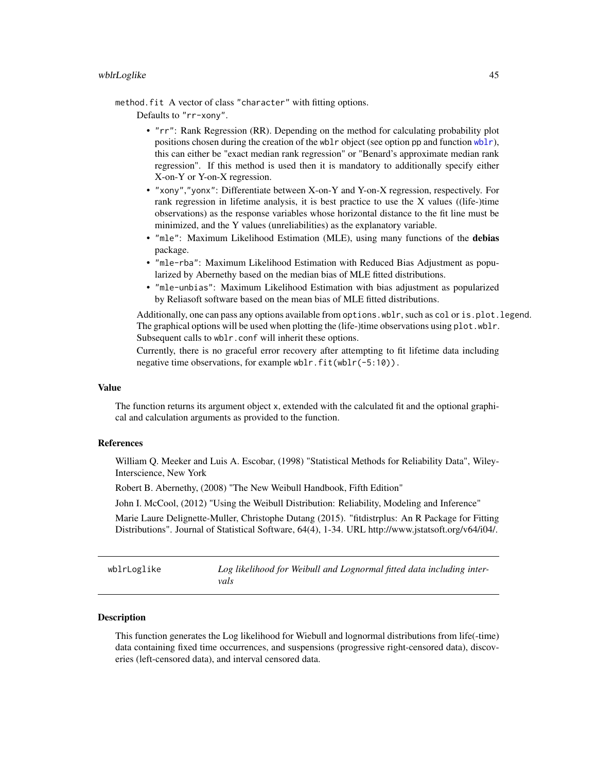#### <span id="page-44-0"></span>wblrLoglike 45

method.fit A vector of class "character" with fitting options.

Defaults to "rr-xony".

- "rr": Rank Regression (RR). Depending on the method for calculating probability plot positions chosen during the creation of the [wblr](#page-38-1) object (see option pp and function wblr), this can either be "exact median rank regression" or "Benard's approximate median rank regression". If this method is used then it is mandatory to additionally specify either X-on-Y or Y-on-X regression.
- "xony","yonx": Differentiate between X-on-Y and Y-on-X regression, respectively. For rank regression in lifetime analysis, it is best practice to use the X values ((life-)time observations) as the response variables whose horizontal distance to the fit line must be minimized, and the Y values (unreliabilities) as the explanatory variable.
- "mle": Maximum Likelihood Estimation (MLE), using many functions of the **debias** package.
- "mle-rba": Maximum Likelihood Estimation with Reduced Bias Adjustment as popularized by Abernethy based on the median bias of MLE fitted distributions.
- "mle-unbias": Maximum Likelihood Estimation with bias adjustment as popularized by Reliasoft software based on the mean bias of MLE fitted distributions.

Additionally, one can pass any options available from options.wblr, such as col or is.plot.legend. The graphical options will be used when plotting the (life-)time observations using plot.wblr. Subsequent calls to wblr.conf will inherit these options.

Currently, there is no graceful error recovery after attempting to fit lifetime data including negative time observations, for example wblr.fit(wblr(-5:10)).

#### Value

The function returns its argument object x, extended with the calculated fit and the optional graphical and calculation arguments as provided to the function.

#### References

William Q. Meeker and Luis A. Escobar, (1998) "Statistical Methods for Reliability Data", Wiley-Interscience, New York

Robert B. Abernethy, (2008) "The New Weibull Handbook, Fifth Edition"

John I. McCool, (2012) "Using the Weibull Distribution: Reliability, Modeling and Inference"

Marie Laure Delignette-Muller, Christophe Dutang (2015). "fitdistrplus: An R Package for Fitting Distributions". Journal of Statistical Software, 64(4), 1-34. URL http://www.jstatsoft.org/v64/i04/.

| wblrLoglike | Log likelihood for Weibull and Lognormal fitted data including inter- |
|-------------|-----------------------------------------------------------------------|
|             | vals                                                                  |

#### **Description**

This function generates the Log likelihood for Wiebull and lognormal distributions from life(-time) data containing fixed time occurrences, and suspensions (progressive right-censored data), discoveries (left-censored data), and interval censored data.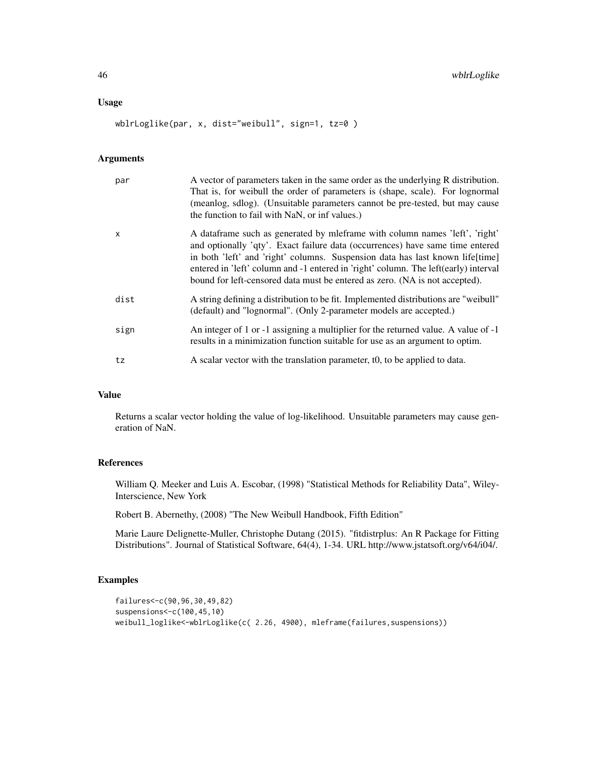#### Usage

wblrLoglike(par, x, dist="weibull", sign=1, tz=0 )

#### Arguments

| par  | A vector of parameters taken in the same order as the underlying R distribution.<br>That is, for weibull the order of parameters is (shape, scale). For lognormal<br>(meanlog, sdlog). (Unsuitable parameters cannot be pre-tested, but may cause<br>the function to fail with NaN, or inf values.)                                                                                                                 |
|------|---------------------------------------------------------------------------------------------------------------------------------------------------------------------------------------------------------------------------------------------------------------------------------------------------------------------------------------------------------------------------------------------------------------------|
| X    | A data frame such as generated by meeting with column names 'left', 'right'<br>and optionally 'qty'. Exact failure data (occurrences) have same time entered<br>in both 'left' and 'right' columns. Suspension data has last known life[time]<br>entered in 'left' column and -1 entered in 'right' column. The left(early) interval<br>bound for left-censored data must be entered as zero. (NA is not accepted). |
| dist | A string defining a distribution to be fit. Implemented distributions are "weibull"<br>(default) and "lognormal". (Only 2-parameter models are accepted.)                                                                                                                                                                                                                                                           |
| sign | An integer of 1 or -1 assigning a multiplier for the returned value. A value of -1<br>results in a minimization function suitable for use as an argument to optim.                                                                                                                                                                                                                                                  |
| tz   | A scalar vector with the translation parameter, t0, to be applied to data.                                                                                                                                                                                                                                                                                                                                          |

# Value

Returns a scalar vector holding the value of log-likelihood. Unsuitable parameters may cause generation of NaN.

#### References

William Q. Meeker and Luis A. Escobar, (1998) "Statistical Methods for Reliability Data", Wiley-Interscience, New York

Robert B. Abernethy, (2008) "The New Weibull Handbook, Fifth Edition"

Marie Laure Delignette-Muller, Christophe Dutang (2015). "fitdistrplus: An R Package for Fitting Distributions". Journal of Statistical Software, 64(4), 1-34. URL http://www.jstatsoft.org/v64/i04/.

```
failures<-c(90,96,30,49,82)
suspensions<-c(100,45,10)
weibull_loglike<-wblrLoglike(c( 2.26, 4900), mleframe(failures,suspensions))
```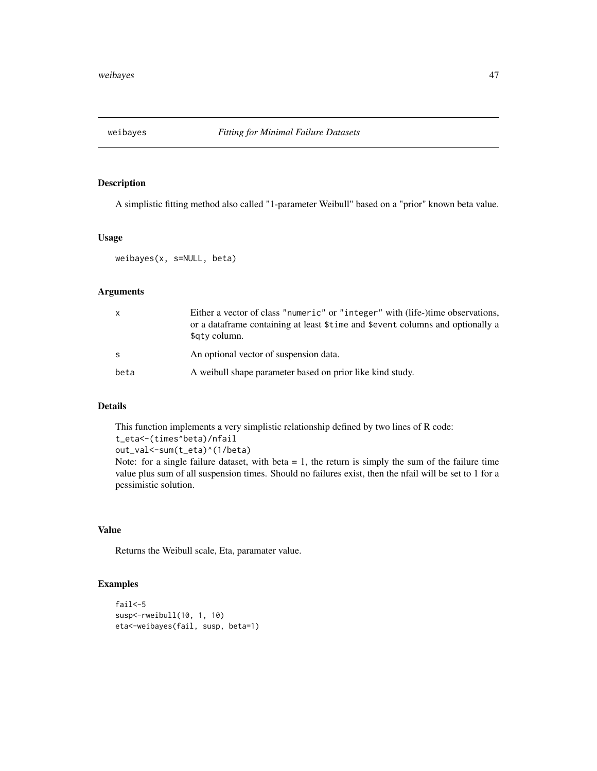<span id="page-46-0"></span>

A simplistic fitting method also called "1-parameter Weibull" based on a "prior" known beta value.

#### Usage

weibayes(x, s=NULL, beta)

#### Arguments

| $\mathbf{x}$ | Either a vector of class "numeric" or "integer" with (life-)time observations,<br>or a dataframe containing at least \$time and \$event columns and optionally a<br>\$qty column. |
|--------------|-----------------------------------------------------------------------------------------------------------------------------------------------------------------------------------|
| -S           | An optional vector of suspension data.                                                                                                                                            |
| beta         | A weibull shape parameter based on prior like kind study.                                                                                                                         |

# Details

This function implements a very simplistic relationship defined by two lines of R code: t\_eta<-(times^beta)/nfail

out\_val<-sum(t\_eta)^(1/beta)

Note: for a single failure dataset, with beta  $= 1$ , the return is simply the sum of the failure time value plus sum of all suspension times. Should no failures exist, then the nfail will be set to 1 for a pessimistic solution.

#### Value

Returns the Weibull scale, Eta, paramater value.

```
fail<-5
susp<-rweibull(10, 1, 10)
eta<-weibayes(fail, susp, beta=1)
```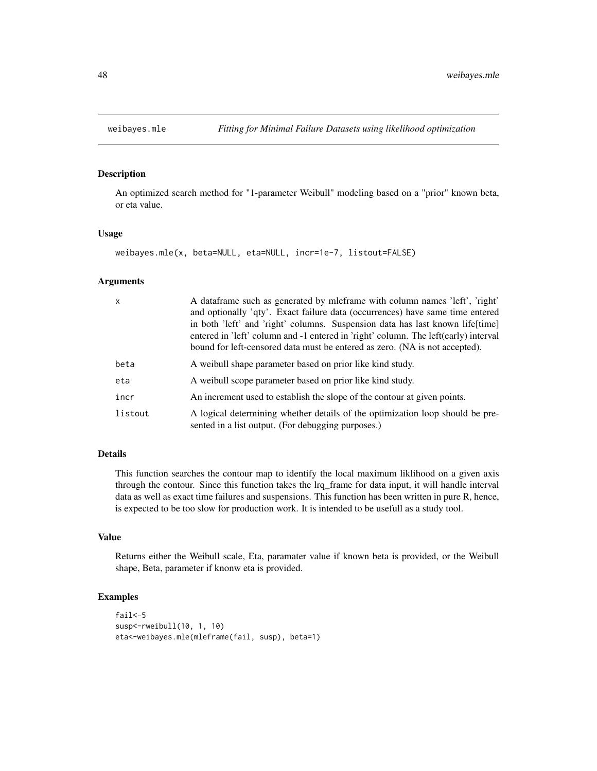<span id="page-47-0"></span>

An optimized search method for "1-parameter Weibull" modeling based on a "prior" known beta, or eta value.

#### Usage

```
weibayes.mle(x, beta=NULL, eta=NULL, incr=1e-7, listout=FALSE)
```
#### Arguments

| $\mathsf{x}$ | A data frame such as generated by meeting with column names 'left', 'right'<br>and optionally 'qty'. Exact failure data (occurrences) have same time entered<br>in both 'left' and 'right' columns. Suspension data has last known life[time]<br>entered in 'left' column and -1 entered in 'right' column. The left(early) interval<br>bound for left-censored data must be entered as zero. (NA is not accepted). |
|--------------|---------------------------------------------------------------------------------------------------------------------------------------------------------------------------------------------------------------------------------------------------------------------------------------------------------------------------------------------------------------------------------------------------------------------|
| beta         | A weibull shape parameter based on prior like kind study.                                                                                                                                                                                                                                                                                                                                                           |
| eta          | A weibull scope parameter based on prior like kind study.                                                                                                                                                                                                                                                                                                                                                           |
| incr         | An increment used to establish the slope of the contour at given points.                                                                                                                                                                                                                                                                                                                                            |
| listout      | A logical determining whether details of the optimization loop should be pre-<br>sented in a list output. (For debugging purposes.)                                                                                                                                                                                                                                                                                 |

# Details

This function searches the contour map to identify the local maximum liklihood on a given axis through the contour. Since this function takes the lrq\_frame for data input, it will handle interval data as well as exact time failures and suspensions. This function has been written in pure R, hence, is expected to be too slow for production work. It is intended to be usefull as a study tool.

#### Value

Returns either the Weibull scale, Eta, paramater value if known beta is provided, or the Weibull shape, Beta, parameter if knonw eta is provided.

```
fail<-5
susp<-rweibull(10, 1, 10)
eta<-weibayes.mle(mleframe(fail, susp), beta=1)
```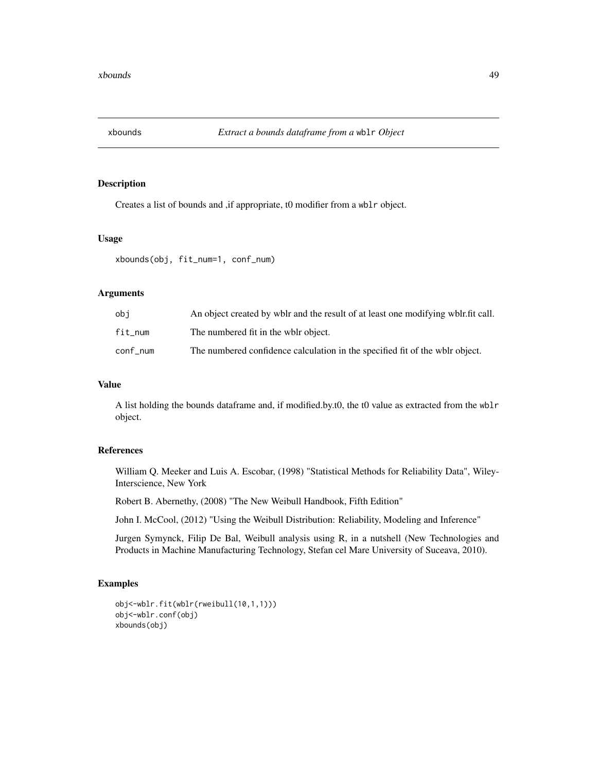<span id="page-48-0"></span>

Creates a list of bounds and ,if appropriate, t0 modifier from a wblr object.

#### Usage

xbounds(obj, fit\_num=1, conf\_num)

#### Arguments

| obi      | An object created by wblr and the result of at least one modifying wblr.fit call. |
|----------|-----------------------------------------------------------------------------------|
| fit num  | The numbered fit in the wblr object.                                              |
| conf num | The numbered confidence calculation in the specified fit of the wblr object.      |

# Value

A list holding the bounds dataframe and, if modified.by.t0, the t0 value as extracted from the wblr object.

# References

William Q. Meeker and Luis A. Escobar, (1998) "Statistical Methods for Reliability Data", Wiley-Interscience, New York

Robert B. Abernethy, (2008) "The New Weibull Handbook, Fifth Edition"

John I. McCool, (2012) "Using the Weibull Distribution: Reliability, Modeling and Inference"

Jurgen Symynck, Filip De Bal, Weibull analysis using R, in a nutshell (New Technologies and Products in Machine Manufacturing Technology, Stefan cel Mare University of Suceava, 2010).

```
obj<-wblr.fit(wblr(rweibull(10,1,1)))
obj<-wblr.conf(obj)
xbounds(obj)
```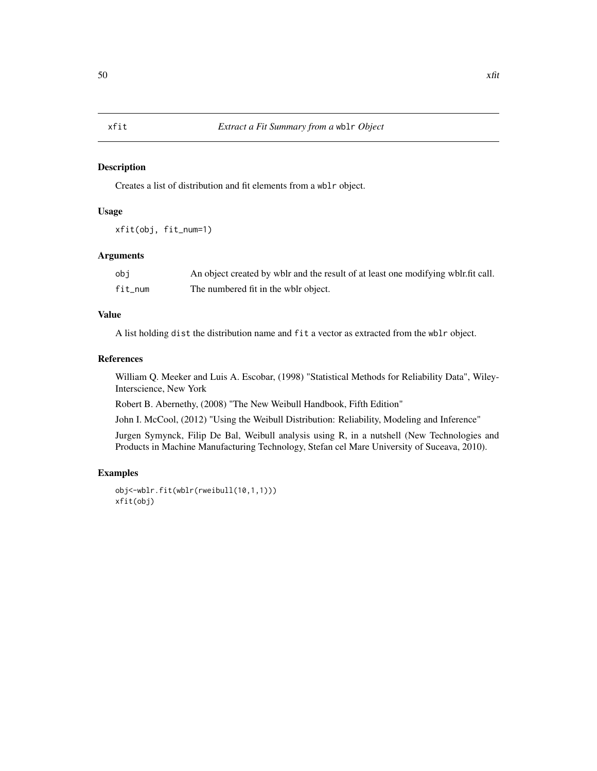<span id="page-49-0"></span>Creates a list of distribution and fit elements from a wblr object.

# Usage

xfit(obj, fit\_num=1)

#### Arguments

| obi     | An object created by wblr and the result of at least one modifying wblr.fit call. |
|---------|-----------------------------------------------------------------------------------|
| fit num | The numbered fit in the wblr object.                                              |

# Value

A list holding dist the distribution name and fit a vector as extracted from the wblr object.

# References

William Q. Meeker and Luis A. Escobar, (1998) "Statistical Methods for Reliability Data", Wiley-Interscience, New York

Robert B. Abernethy, (2008) "The New Weibull Handbook, Fifth Edition"

John I. McCool, (2012) "Using the Weibull Distribution: Reliability, Modeling and Inference"

Jurgen Symynck, Filip De Bal, Weibull analysis using R, in a nutshell (New Technologies and Products in Machine Manufacturing Technology, Stefan cel Mare University of Suceava, 2010).

```
obj<-wblr.fit(wblr(rweibull(10,1,1)))
xfit(obj)
```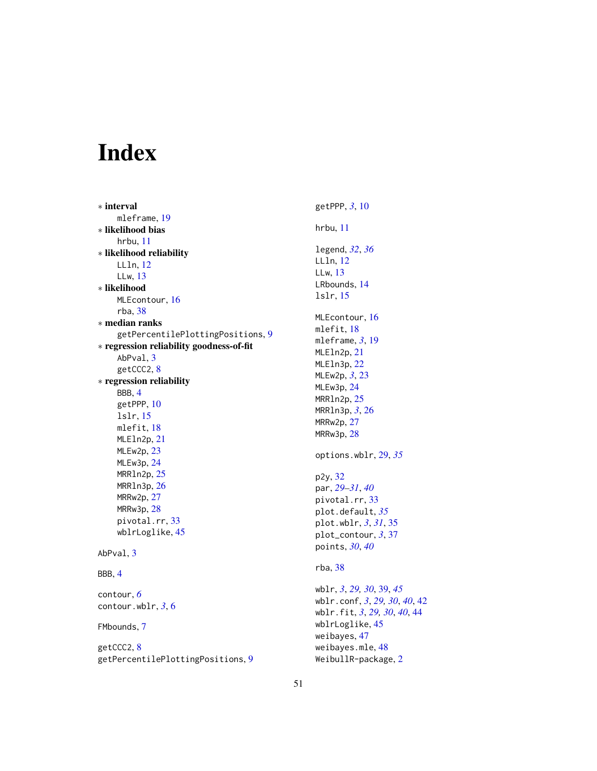# <span id="page-50-0"></span>Index

∗ interval mleframe, [19](#page-18-0) ∗ likelihood bias hrbu, [11](#page-10-0) ∗ likelihood reliability LLln, [12](#page-11-0) LLw, [13](#page-12-0) ∗ likelihood MLEcontour, [16](#page-15-0) rba, [38](#page-37-0) ∗ median ranks getPercentilePlottingPositions, [9](#page-8-0) ∗ regression reliability goodness-of-fit AbPval, [3](#page-2-0) getCCC2, [8](#page-7-0) ∗ regression reliability BBB, [4](#page-3-0) getPPP, [10](#page-9-0) lslr, [15](#page-14-0) mlefit, [18](#page-17-0) MLEln2p, [21](#page-20-0) MLEw<sub>2p</sub>, [23](#page-22-0) MLEw3p, [24](#page-23-0) MRRln2p, [25](#page-24-0) MRRln3p, [26](#page-25-0) MRRw2p, [27](#page-26-0) MRRw3p, [28](#page-27-0) pivotal.rr, [33](#page-32-0) wblrLoglike, [45](#page-44-0) AbPval, [3](#page-2-0) BBB, [4](#page-3-0) contour, *[6](#page-5-0)* contour.wblr, *[3](#page-2-0)*, [6](#page-5-0) FMbounds, [7](#page-6-0) getCCC2, [8](#page-7-0) getPercentilePlottingPositions, [9](#page-8-0)

getPPP, *[3](#page-2-0)*, [10](#page-9-0) hrbu, [11](#page-10-0) legend, *[32](#page-31-0)*, *[36](#page-35-0)* LLln, [12](#page-11-0) LLw, [13](#page-12-0) LRbounds, [14](#page-13-0) lslr, [15](#page-14-0) MLEcontour, [16](#page-15-0) mlefit, [18](#page-17-0) mleframe, *[3](#page-2-0)*, [19](#page-18-0) MLEln2p, [21](#page-20-0) MLEln3p, [22](#page-21-0) MLEw2p, *[3](#page-2-0)*, [23](#page-22-0) MLEw3p, [24](#page-23-0) MRRln2p, [25](#page-24-0) MRRln3p, *[3](#page-2-0)*, [26](#page-25-0) MRRw2p, [27](#page-26-0) MRRw3p, [28](#page-27-0) options.wblr, [29,](#page-28-0) *[35](#page-34-0)* p2y, [32](#page-31-0) par, *[29–](#page-28-0)[31](#page-30-0)*, *[40](#page-39-0)* pivotal.rr, [33](#page-32-0) plot.default, *[35](#page-34-0)* plot.wblr, *[3](#page-2-0)*, *[31](#page-30-0)*, [35](#page-34-0) plot\_contour, *[3](#page-2-0)*, [37](#page-36-0) points, *[30](#page-29-0)*, *[40](#page-39-0)* rba, [38](#page-37-0) wblr, *[3](#page-2-0)*, *[29,](#page-28-0) [30](#page-29-0)*, [39,](#page-38-0) *[45](#page-44-0)* wblr.conf, *[3](#page-2-0)*, *[29,](#page-28-0) [30](#page-29-0)*, *[40](#page-39-0)*, [42](#page-41-0) wblr.fit, *[3](#page-2-0)*, *[29,](#page-28-0) [30](#page-29-0)*, *[40](#page-39-0)*, [44](#page-43-0) wblrLoglike, [45](#page-44-0) weibayes, [47](#page-46-0) weibayes.mle, [48](#page-47-0) WeibullR-package, [2](#page-1-0)